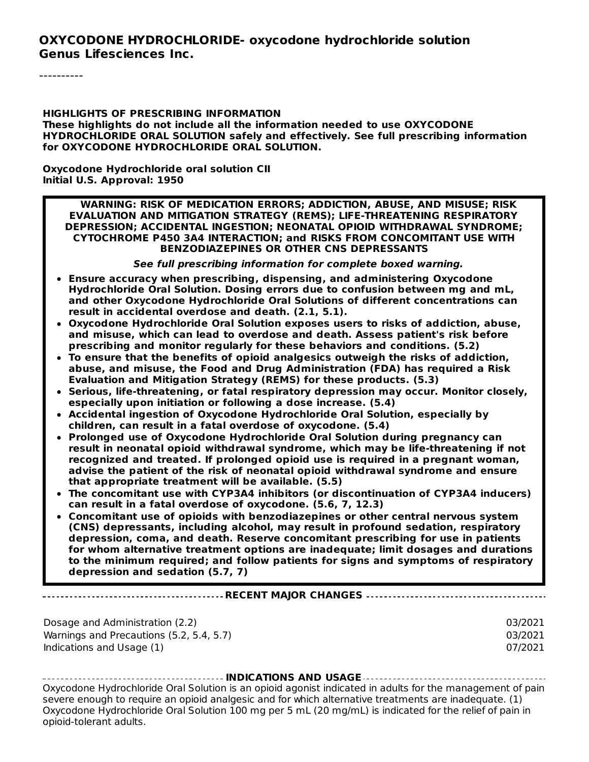#### **OXYCODONE HYDROCHLORIDE- oxycodone hydrochloride solution Genus Lifesciences Inc.**

**HIGHLIGHTS OF PRESCRIBING INFORMATION These highlights do not include all the information needed to use OXYCODONE HYDROCHLORIDE ORAL SOLUTION safely and effectively. See full prescribing information for OXYCODONE HYDROCHLORIDE ORAL SOLUTION.**

**Oxycodone Hydrochloride oral solution CII Initial U.S. Approval: 1950**

**WARNING: RISK OF MEDICATION ERRORS; ADDICTION, ABUSE, AND MISUSE; RISK EVALUATION AND MITIGATION STRATEGY (REMS); LIFE-THREATENING RESPIRATORY DEPRESSION; ACCIDENTAL INGESTION; NEONATAL OPIOID WITHDRAWAL SYNDROME; CYTOCHROME P450 3A4 INTERACTION; and RISKS FROM CONCOMITANT USE WITH BENZODIAZEPINES OR OTHER CNS DEPRESSANTS**

**See full prescribing information for complete boxed warning.**

- **Ensure accuracy when prescribing, dispensing, and administering Oxycodone Hydrochloride Oral Solution. Dosing errors due to confusion between mg and mL, and other Oxycodone Hydrochloride Oral Solutions of different concentrations can result in accidental overdose and death. (2.1, 5.1).**
- **Oxycodone Hydrochloride Oral Solution exposes users to risks of addiction, abuse, and misuse, which can lead to overdose and death. Assess patient's risk before prescribing and monitor regularly for these behaviors and conditions. (5.2)**
- **To ensure that the benefits of opioid analgesics outweigh the risks of addiction, abuse, and misuse, the Food and Drug Administration (FDA) has required a Risk Evaluation and Mitigation Strategy (REMS) for these products. (5.3)**
- **Serious, life-threatening, or fatal respiratory depression may occur. Monitor closely, especially upon initiation or following a dose increase. (5.4)**
- **Accidental ingestion of Oxycodone Hydrochloride Oral Solution, especially by children, can result in a fatal overdose of oxycodone. (5.4)**
- **Prolonged use of Oxycodone Hydrochloride Oral Solution during pregnancy can result in neonatal opioid withdrawal syndrome, which may be life-threatening if not recognized and treated. If prolonged opioid use is required in a pregnant woman, advise the patient of the risk of neonatal opioid withdrawal syndrome and ensure that appropriate treatment will be available. (5.5)**
- **The concomitant use with CYP3A4 inhibitors (or discontinuation of CYP3A4 inducers) can result in a fatal overdose of oxycodone. (5.6, 7, 12.3)**
- **Concomitant use of opioids with benzodiazepines or other central nervous system (CNS) depressants, including alcohol, may result in profound sedation, respiratory depression, coma, and death. Reserve concomitant prescribing for use in patients for whom alternative treatment options are inadequate; limit dosages and durations to the minimum required; and follow patients for signs and symptoms of respiratory depression and sedation (5.7, 7)**

#### **RECENT MAJOR CHANGES**

Dosage and Administration (2.2) 03/2021 Warnings and Precautions (5.2, 5.4, 5.7) 03/2021 Indications and Usage (1) 07/2021

**INDICATIONS AND USAGE** Oxycodone Hydrochloride Oral Solution is an opioid agonist indicated in adults for the management of pain severe enough to require an opioid analgesic and for which alternative treatments are inadequate. (1) Oxycodone Hydrochloride Oral Solution 100 mg per 5 mL (20 mg/mL) is indicated for the relief of pain in opioid-tolerant adults.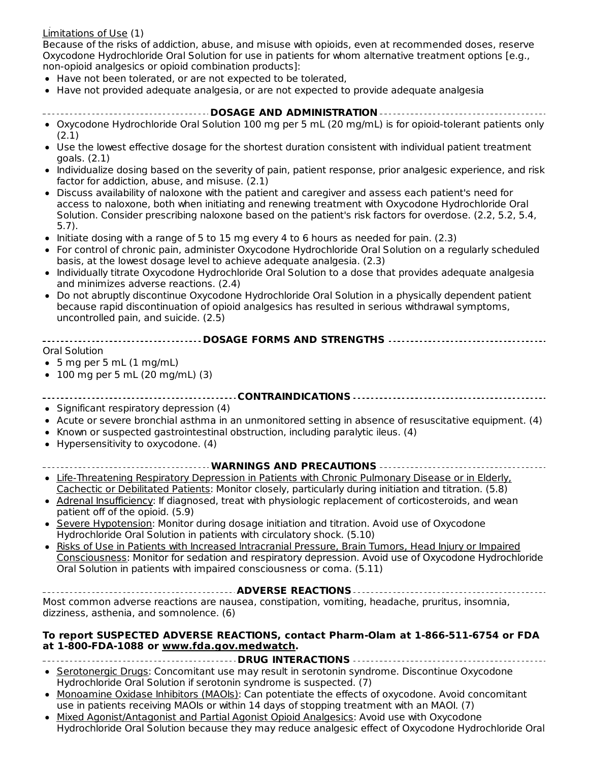#### opioid-tolerant adults. Limitations of Use (1)

Because of the risks of addiction, abuse, and misuse with opioids, even at recommended doses, reserve Oxycodone Hydrochloride Oral Solution for use in patients for whom alternative treatment options [e.g., non-opioid analgesics or opioid combination products]:

- Have not been tolerated, or are not expected to be tolerated,
- Have not provided adequate analgesia, or are not expected to provide adequate analgesia
- **DOSAGE AND ADMINISTRATION** Oxycodone Hydrochloride Oral Solution 100 mg per 5 mL (20 mg/mL) is for opioid-tolerant patients only (2.1)
- Use the lowest effective dosage for the shortest duration consistent with individual patient treatment goals. (2.1)
- Individualize dosing based on the severity of pain, patient response, prior analgesic experience, and risk factor for addiction, abuse, and misuse. (2.1)
- Discuss availability of naloxone with the patient and caregiver and assess each patient's need for access to naloxone, both when initiating and renewing treatment with Oxycodone Hydrochloride Oral Solution. Consider prescribing naloxone based on the patient's risk factors for overdose. (2.2, 5.2, 5.4, 5.7).
- $\bullet$  Initiate dosing with a range of 5 to 15 mg every 4 to 6 hours as needed for pain. (2.3)
- For control of chronic pain, administer Oxycodone Hydrochloride Oral Solution on a regularly scheduled basis, at the lowest dosage level to achieve adequate analgesia. (2.3)
- Individually titrate Oxycodone Hydrochloride Oral Solution to a dose that provides adequate analgesia and minimizes adverse reactions. (2.4)
- Do not abruptly discontinue Oxycodone Hydrochloride Oral Solution in a physically dependent patient because rapid discontinuation of opioid analgesics has resulted in serious withdrawal symptoms, uncontrolled pain, and suicide. (2.5)

| $\begin{array}{c} \hline \end{array}$ |
|---------------------------------------|

Oral Solution

- $\bullet$  5 mg per 5 mL (1 mg/mL)
- $\bullet$  100 mg per 5 mL (20 mg/mL) (3)

#### **CONTRAINDICATIONS**

- Significant respiratory depression (4)
- Acute or severe bronchial asthma in an unmonitored setting in absence of resuscitative equipment. (4)
- Known or suspected gastrointestinal obstruction, including paralytic ileus. (4)  $\bullet$
- Hypersensitivity to oxycodone. (4)  $\bullet$

#### **WARNINGS AND PRECAUTIONS**

- Life-Threatening Respiratory Depression in Patients with Chronic Pulmonary Disease or in Elderly,  $\bullet$ Cachectic or Debilitated Patients: Monitor closely, particularly during initiation and titration. (5.8)
- Adrenal Insufficiency: If diagnosed, treat with physiologic replacement of corticosteroids, and wean patient off of the opioid. (5.9)
- Severe Hypotension: Monitor during dosage initiation and titration. Avoid use of Oxycodone  $\bullet$ Hydrochloride Oral Solution in patients with circulatory shock. (5.10)
- Risks of Use in Patients with Increased lntracranial Pressure, Brain Tumors, Head Injury or Impaired Consciousness: Monitor for sedation and respiratory depression. Avoid use of Oxycodone Hydrochloride Oral Solution in patients with impaired consciousness or coma. (5.11)

**ADVERSE REACTIONS** Most common adverse reactions are nausea, constipation, vomiting, headache, pruritus, insomnia, dizziness, asthenia, and somnolence. (6)

#### **To report SUSPECTED ADVERSE REACTIONS, contact Pharm-Olam at 1-866-511-6754 or FDA at 1-800-FDA-1088 or www.fda.gov.medwatch.**

- **DRUG INTERACTIONS** • Serotonergic Drugs: Concomitant use may result in serotonin syndrome. Discontinue Oxycodone
- Hydrochloride Oral Solution if serotonin syndrome is suspected. (7)
- Monoamine Oxidase Inhibitors (MAOIs): Can potentiate the effects of oxycodone. Avoid concomitant use in patients receiving MAOIs or within 14 days of stopping treatment with an MAOI. (7)
- Mixed Agonist/Antagonist and Partial Agonist Opioid Analgesics: Avoid use with Oxycodone  $\bullet$ Hydrochloride Oral Solution because they may reduce analgesic effect of Oxycodone Hydrochloride Oral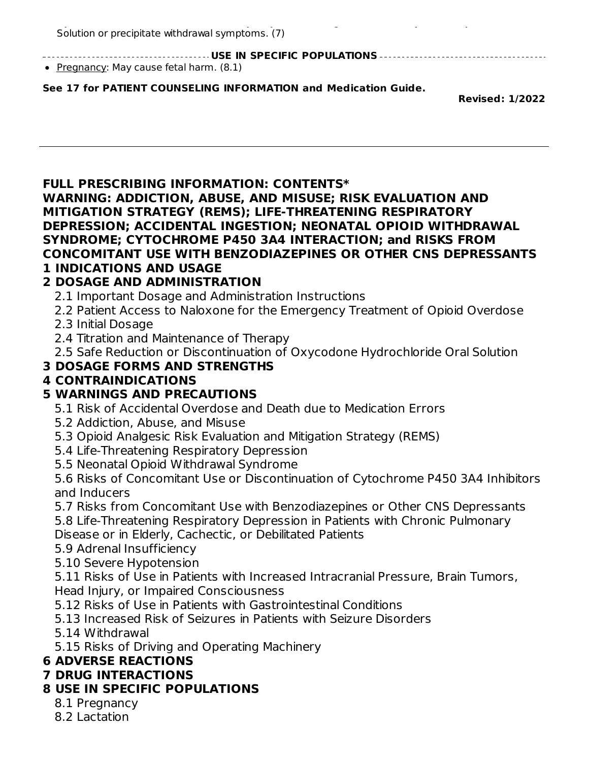Hydrochloride Oral Solution because they may reduce analgesic effect of Oxycodone Hydrochloride Oral Solution or precipitate withdrawal symptoms. (7)

**USE IN SPECIFIC POPULATIONS**

• Pregnancy: May cause fetal harm. (8.1)

#### **See 17 for PATIENT COUNSELING INFORMATION and Medication Guide.**

**Revised: 1/2022**

#### **FULL PRESCRIBING INFORMATION: CONTENTS\***

**WARNING: ADDICTION, ABUSE, AND MISUSE; RISK EVALUATION AND MITIGATION STRATEGY (REMS); LIFE-THREATENING RESPIRATORY DEPRESSION; ACCIDENTAL INGESTION; NEONATAL OPIOID WITHDRAWAL SYNDROME; CYTOCHROME P450 3A4 INTERACTION; and RISKS FROM CONCOMITANT USE WITH BENZODIAZEPINES OR OTHER CNS DEPRESSANTS 1 INDICATIONS AND USAGE**

### **2 DOSAGE AND ADMINISTRATION**

- 2.1 Important Dosage and Administration Instructions
- 2.2 Patient Access to Naloxone for the Emergency Treatment of Opioid Overdose 2.3 Initial Dosage
- 
- 2.4 Titration and Maintenance of Therapy
- 2.5 Safe Reduction or Discontinuation of Oxycodone Hydrochloride Oral Solution

# **3 DOSAGE FORMS AND STRENGTHS**

### **4 CONTRAINDICATIONS**

# **5 WARNINGS AND PRECAUTIONS**

- 5.1 Risk of Accidental Overdose and Death due to Medication Errors
- 5.2 Addiction, Abuse, and Misuse
- 5.3 Opioid Analgesic Risk Evaluation and Mitigation Strategy (REMS)
- 5.4 Life-Threatening Respiratory Depression
- 5.5 Neonatal Opioid Withdrawal Syndrome

5.6 Risks of Concomitant Use or Discontinuation of Cytochrome P450 3A4 Inhibitors and Inducers

- 5.7 Risks from Concomitant Use with Benzodiazepines or Other CNS Depressants 5.8 Life-Threatening Respiratory Depression in Patients with Chronic Pulmonary Disease or in Elderly, Cachectic, or Debilitated Patients
- 5.9 Adrenal Insufficiency
- 5.10 Severe Hypotension

5.11 Risks of Use in Patients with Increased Intracranial Pressure, Brain Tumors, Head Injury, or Impaired Consciousness

- 5.12 Risks of Use in Patients with Gastrointestinal Conditions
- 5.13 Increased Risk of Seizures in Patients with Seizure Disorders
- 5.14 Withdrawal
- 5.15 Risks of Driving and Operating Machinery

# **6 ADVERSE REACTIONS**

# **7 DRUG INTERACTIONS**

# **8 USE IN SPECIFIC POPULATIONS**

- 8.1 Pregnancy
- 8.2 Lactation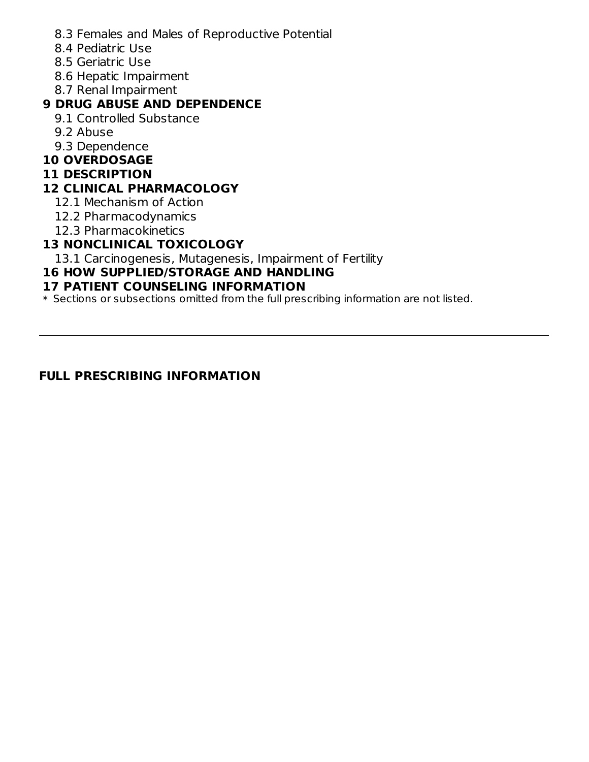- 8.3 Females and Males of Reproductive Potential
- 8.4 Pediatric Use
- 8.5 Geriatric Use
- 8.6 Hepatic Impairment
- 8.7 Renal Impairment

### **9 DRUG ABUSE AND DEPENDENCE**

- 9.1 Controlled Substance
- 9.2 Abuse
- 9.3 Dependence

### **10 OVERDOSAGE**

#### **11 DESCRIPTION**

### **12 CLINICAL PHARMACOLOGY**

- 12.1 Mechanism of Action
- 12.2 Pharmacodynamics
- 12.3 Pharmacokinetics

### **13 NONCLINICAL TOXICOLOGY**

13.1 Carcinogenesis, Mutagenesis, Impairment of Fertility

#### **16 HOW SUPPLIED/STORAGE AND HANDLING**

#### **17 PATIENT COUNSELING INFORMATION**

 $\ast$  Sections or subsections omitted from the full prescribing information are not listed.

#### **FULL PRESCRIBING INFORMATION**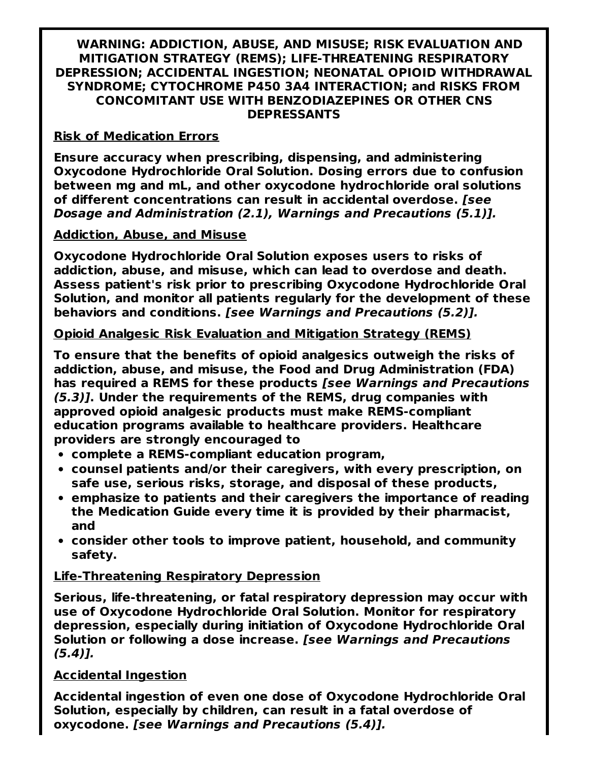#### **WARNING: ADDICTION, ABUSE, AND MISUSE; RISK EVALUATION AND MITIGATION STRATEGY (REMS); LIFE-THREATENING RESPIRATORY DEPRESSION; ACCIDENTAL INGESTION; NEONATAL OPIOID WITHDRAWAL SYNDROME; CYTOCHROME P450 3A4 INTERACTION; and RISKS FROM CONCOMITANT USE WITH BENZODIAZEPINES OR OTHER CNS DEPRESSANTS**

#### **Risk of Medication Errors**

**Ensure accuracy when prescribing, dispensing, and administering Oxycodone Hydrochloride Oral Solution. Dosing errors due to confusion between mg and mL, and other oxycodone hydrochloride oral solutions of different concentrations can result in accidental overdose. [see Dosage and Administration (2.1), Warnings and Precautions (5.1)].**

#### **Addiction, Abuse, and Misuse**

**Oxycodone Hydrochloride Oral Solution exposes users to risks of addiction, abuse, and misuse, which can lead to overdose and death. Assess patient's risk prior to prescribing Oxycodone Hydrochloride Oral Solution, and monitor all patients regularly for the development of these behaviors and conditions. [see Warnings and Precautions (5.2)].**

#### **Opioid Analgesic Risk Evaluation and Mitigation Strategy (REMS)**

**To ensure that the benefits of opioid analgesics outweigh the risks of addiction, abuse, and misuse, the Food and Drug Administration (FDA) has required a REMS for these products [see Warnings and Precautions (5.3)]. Under the requirements of the REMS, drug companies with approved opioid analgesic products must make REMS-compliant education programs available to healthcare providers. Healthcare providers are strongly encouraged to**

- **complete a REMS-compliant education program,**
- **counsel patients and/or their caregivers, with every prescription, on safe use, serious risks, storage, and disposal of these products,**
- **emphasize to patients and their caregivers the importance of reading the Medication Guide every time it is provided by their pharmacist, and**
- **consider other tools to improve patient, household, and community safety.**

### **Life-Threatening Respiratory Depression**

**Serious, life-threatening, or fatal respiratory depression may occur with use of Oxycodone Hydrochloride Oral Solution. Monitor for respiratory depression, especially during initiation of Oxycodone Hydrochloride Oral Solution or following a dose increase. [see Warnings and Precautions (5.4)].**

### **Accidental Ingestion**

**Accidental ingestion of even one dose of Oxycodone Hydrochloride Oral Solution, especially by children, can result in a fatal overdose of oxycodone. [see Warnings and Precautions (5.4)].**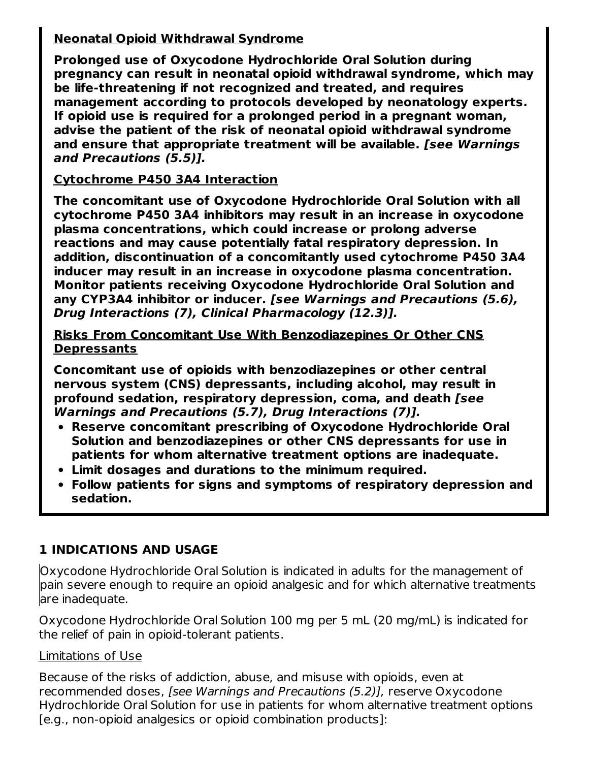# **Neonatal Opioid Withdrawal Syndrome**

**Prolonged use of Oxycodone Hydrochloride Oral Solution during pregnancy can result in neonatal opioid withdrawal syndrome, which may be life-threatening if not recognized and treated, and requires management according to protocols developed by neonatology experts. If opioid use is required for a prolonged period in a pregnant woman, advise the patient of the risk of neonatal opioid withdrawal syndrome and ensure that appropriate treatment will be available. [see Warnings and Precautions (5.5)].**

# **Cytochrome P450 3A4 Interaction**

**The concomitant use of Oxycodone Hydrochloride Oral Solution with all cytochrome P450 3A4 inhibitors may result in an increase in oxycodone plasma concentrations, which could increase or prolong adverse reactions and may cause potentially fatal respiratory depression. In addition, discontinuation of a concomitantly used cytochrome P450 3A4 inducer may result in an increase in oxycodone plasma concentration. Monitor patients receiving Oxycodone Hydrochloride Oral Solution and any CYP3A4 inhibitor or inducer. [see Warnings and Precautions (5.6), Drug Interactions (7), Clinical Pharmacology (12.3)].**

**Risks From Concomitant Use With Benzodiazepines Or Other CNS Depressants**

**Concomitant use of opioids with benzodiazepines or other central nervous system (CNS) depressants, including alcohol, may result in profound sedation, respiratory depression, coma, and death [see Warnings and Precautions (5.7), Drug Interactions (7)].**

- **Reserve concomitant prescribing of Oxycodone Hydrochloride Oral Solution and benzodiazepines or other CNS depressants for use in patients for whom alternative treatment options are inadequate.**
- **Limit dosages and durations to the minimum required.**
- **Follow patients for signs and symptoms of respiratory depression and sedation.**

# **1 INDICATIONS AND USAGE**

Oxycodone Hydrochloride Oral Solution is indicated in adults for the management of pain severe enough to require an opioid analgesic and for which alternative treatments are inadequate.

Oxycodone Hydrochloride Oral Solution 100 mg per 5 mL (20 mg/mL) is indicated for the relief of pain in opioid-tolerant patients.

### Limitations of Use

Because of the risks of addiction, abuse, and misuse with opioids, even at recommended doses, [see Warnings and Precautions (5.2)], reserve Oxycodone Hydrochloride Oral Solution for use in patients for whom alternative treatment options [e.g., non-opioid analgesics or opioid combination products]: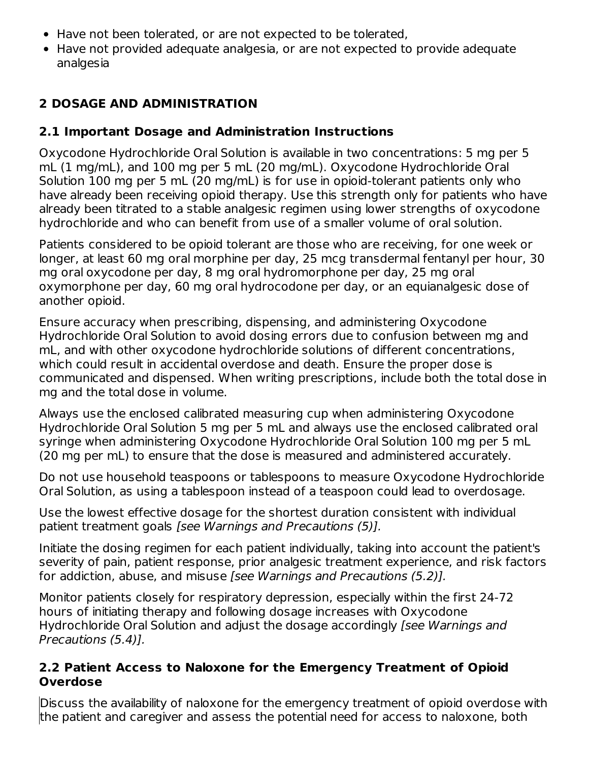- Have not been tolerated, or are not expected to be tolerated,
- Have not provided adequate analgesia, or are not expected to provide adequate analgesia

# **2 DOSAGE AND ADMINISTRATION**

# **2.1 Important Dosage and Administration Instructions**

Oxycodone Hydrochloride Oral Solution is available in two concentrations: 5 mg per 5 mL (1 mg/mL), and 100 mg per 5 mL (20 mg/mL). Oxycodone Hydrochloride Oral Solution 100 mg per 5 mL (20 mg/mL) is for use in opioid-tolerant patients only who have already been receiving opioid therapy. Use this strength only for patients who have already been titrated to a stable analgesic regimen using lower strengths of oxycodone hydrochloride and who can benefit from use of a smaller volume of oral solution.

Patients considered to be opioid tolerant are those who are receiving, for one week or longer, at least 60 mg oral morphine per day, 25 mcg transdermal fentanyl per hour, 30 mg oral oxycodone per day, 8 mg oral hydromorphone per day, 25 mg oral oxymorphone per day, 60 mg oral hydrocodone per day, or an equianalgesic dose of another opioid.

Ensure accuracy when prescribing, dispensing, and administering Oxycodone Hydrochloride Oral Solution to avoid dosing errors due to confusion between mg and mL, and with other oxycodone hydrochloride solutions of different concentrations, which could result in accidental overdose and death. Ensure the proper dose is communicated and dispensed. When writing prescriptions, include both the total dose in mg and the total dose in volume.

Always use the enclosed calibrated measuring cup when administering Oxycodone Hydrochloride Oral Solution 5 mg per 5 mL and always use the enclosed calibrated oral syringe when administering Oxycodone Hydrochloride Oral Solution 100 mg per 5 mL (20 mg per mL) to ensure that the dose is measured and administered accurately.

Do not use household teaspoons or tablespoons to measure Oxycodone Hydrochloride Oral Solution, as using a tablespoon instead of a teaspoon could lead to overdosage.

Use the lowest effective dosage for the shortest duration consistent with individual patient treatment goals [see Warnings and Precautions (5)].

Initiate the dosing regimen for each patient individually, taking into account the patient's severity of pain, patient response, prior analgesic treatment experience, and risk factors for addiction, abuse, and misuse [see Warnings and Precautions (5.2)].

Monitor patients closely for respiratory depression, especially within the first 24-72 hours of initiating therapy and following dosage increases with Oxycodone Hydrochloride Oral Solution and adjust the dosage accordingly [see Warnings and Precautions (5.4)].

# **2.2 Patient Access to Naloxone for the Emergency Treatment of Opioid Overdose**

Discuss the availability of naloxone for the emergency treatment of opioid overdose with the patient and caregiver and assess the potential need for access to naloxone, both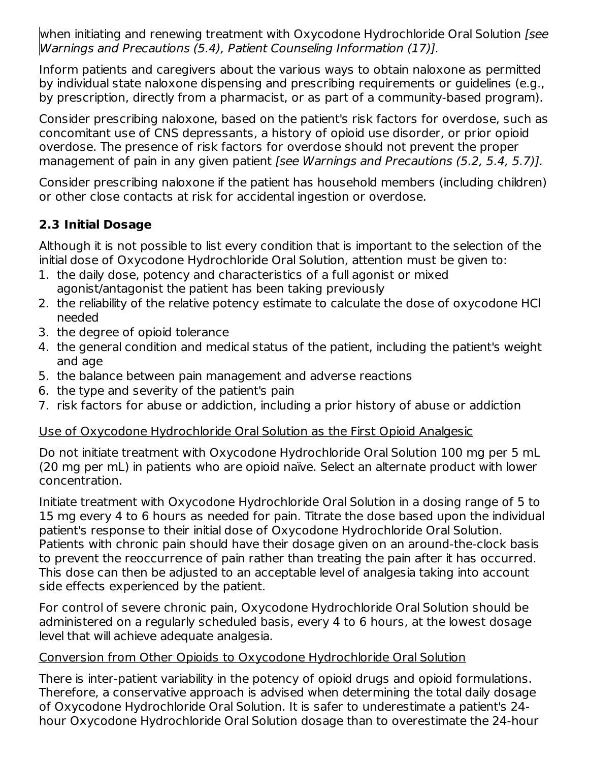when initiating and renewing treatment with Oxycodone Hydrochloride Oral Solution [see Warnings and Precautions (5.4), Patient Counseling Information (17)].

Inform patients and caregivers about the various ways to obtain naloxone as permitted by individual state naloxone dispensing and prescribing requirements or guidelines (e.g., by prescription, directly from a pharmacist, or as part of a community-based program).

Consider prescribing naloxone, based on the patient's risk factors for overdose, such as concomitant use of CNS depressants, a history of opioid use disorder, or prior opioid overdose. The presence of risk factors for overdose should not prevent the proper management of pain in any given patient [see Warnings and Precautions (5.2, 5.4, 5.7)].

Consider prescribing naloxone if the patient has household members (including children) or other close contacts at risk for accidental ingestion or overdose.

# **2.3 Initial Dosage**

Although it is not possible to list every condition that is important to the selection of the initial dose of Oxycodone Hydrochloride Oral Solution, attention must be given to:

- 1. the daily dose, potency and characteristics of a full agonist or mixed agonist/antagonist the patient has been taking previously
- 2. the reliability of the relative potency estimate to calculate the dose of oxycodone HCl needed
- 3. the degree of opioid tolerance
- 4. the general condition and medical status of the patient, including the patient's weight and age
- 5. the balance between pain management and adverse reactions
- 6. the type and severity of the patient's pain
- 7. risk factors for abuse or addiction, including a prior history of abuse or addiction

# Use of Oxycodone Hydrochloride Oral Solution as the First Opioid Analgesic

Do not initiate treatment with Oxycodone Hydrochloride Oral Solution 100 mg per 5 mL (20 mg per mL) in patients who are opioid naïve. Select an alternate product with lower concentration.

Initiate treatment with Oxycodone Hydrochloride Oral Solution in a dosing range of 5 to 15 mg every 4 to 6 hours as needed for pain. Titrate the dose based upon the individual patient's response to their initial dose of Oxycodone Hydrochloride Oral Solution. Patients with chronic pain should have their dosage given on an around-the-clock basis to prevent the reoccurrence of pain rather than treating the pain after it has occurred. This dose can then be adjusted to an acceptable level of analgesia taking into account side effects experienced by the patient.

For control of severe chronic pain, Oxycodone Hydrochloride Oral Solution should be administered on a regularly scheduled basis, every 4 to 6 hours, at the lowest dosage level that will achieve adequate analgesia.

# Conversion from Other Opioids to Oxycodone Hydrochloride Oral Solution

There is inter-patient variability in the potency of opioid drugs and opioid formulations. Therefore, a conservative approach is advised when determining the total daily dosage of Oxycodone Hydrochloride Oral Solution. It is safer to underestimate a patient's 24 hour Oxycodone Hydrochloride Oral Solution dosage than to overestimate the 24-hour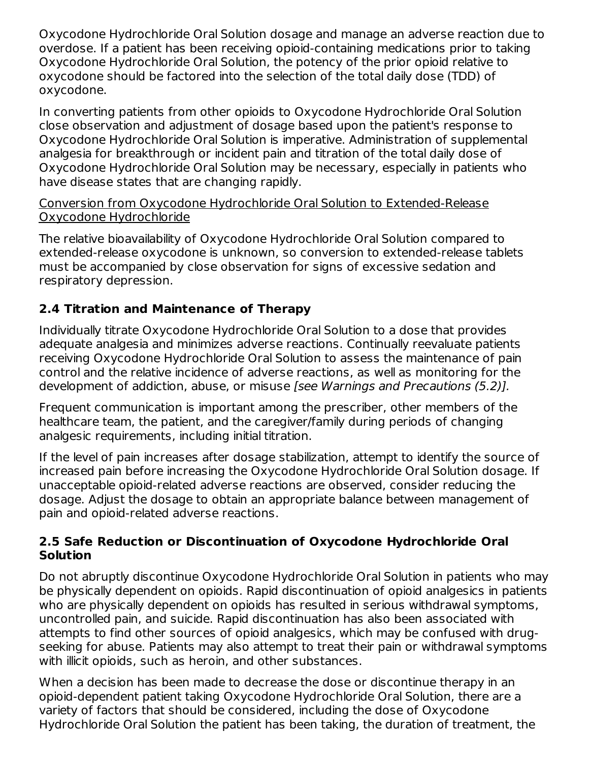Oxycodone Hydrochloride Oral Solution dosage and manage an adverse reaction due to overdose. If a patient has been receiving opioid-containing medications prior to taking Oxycodone Hydrochloride Oral Solution, the potency of the prior opioid relative to oxycodone should be factored into the selection of the total daily dose (TDD) of oxycodone.

In converting patients from other opioids to Oxycodone Hydrochloride Oral Solution close observation and adjustment of dosage based upon the patient's response to Oxycodone Hydrochloride Oral Solution is imperative. Administration of supplemental analgesia for breakthrough or incident pain and titration of the total daily dose of Oxycodone Hydrochloride Oral Solution may be necessary, especially in patients who have disease states that are changing rapidly.

#### Conversion from Oxycodone Hydrochloride Oral Solution to Extended-Release Oxycodone Hydrochloride

The relative bioavailability of Oxycodone Hydrochloride Oral Solution compared to extended-release oxycodone is unknown, so conversion to extended-release tablets must be accompanied by close observation for signs of excessive sedation and respiratory depression.

# **2.4 Titration and Maintenance of Therapy**

Individually titrate Oxycodone Hydrochloride Oral Solution to a dose that provides adequate analgesia and minimizes adverse reactions. Continually reevaluate patients receiving Oxycodone Hydrochloride Oral Solution to assess the maintenance of pain control and the relative incidence of adverse reactions, as well as monitoring for the development of addiction, abuse, or misuse [see Warnings and Precautions (5.2)].

Frequent communication is important among the prescriber, other members of the healthcare team, the patient, and the caregiver/family during periods of changing analgesic requirements, including initial titration.

If the level of pain increases after dosage stabilization, attempt to identify the source of increased pain before increasing the Oxycodone Hydrochloride Oral Solution dosage. If unacceptable opioid-related adverse reactions are observed, consider reducing the dosage. Adjust the dosage to obtain an appropriate balance between management of pain and opioid-related adverse reactions.

### **2.5 Safe Reduction or Discontinuation of Oxycodone Hydrochloride Oral Solution**

Do not abruptly discontinue Oxycodone Hydrochloride Oral Solution in patients who may be physically dependent on opioids. Rapid discontinuation of opioid analgesics in patients who are physically dependent on opioids has resulted in serious withdrawal symptoms, uncontrolled pain, and suicide. Rapid discontinuation has also been associated with attempts to find other sources of opioid analgesics, which may be confused with drugseeking for abuse. Patients may also attempt to treat their pain or withdrawal symptoms with illicit opioids, such as heroin, and other substances.

When a decision has been made to decrease the dose or discontinue therapy in an opioid-dependent patient taking Oxycodone Hydrochloride Oral Solution, there are a variety of factors that should be considered, including the dose of Oxycodone Hydrochloride Oral Solution the patient has been taking, the duration of treatment, the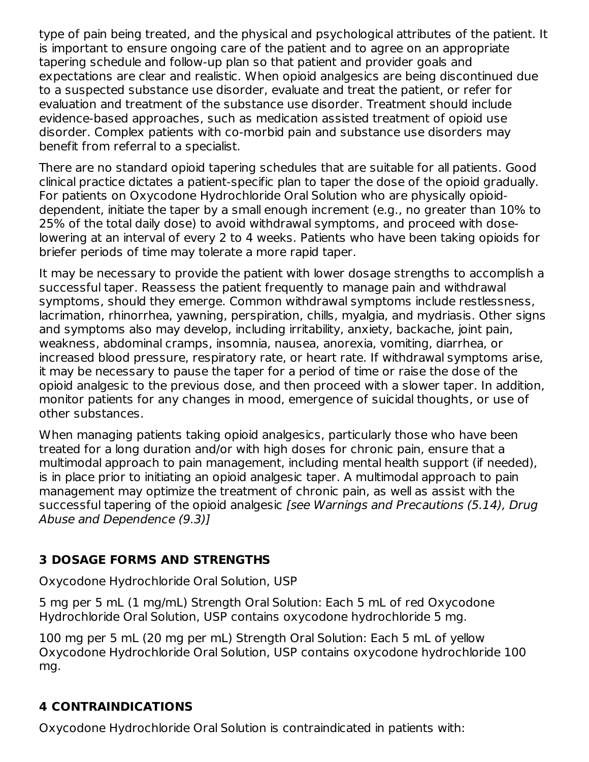type of pain being treated, and the physical and psychological attributes of the patient. It is important to ensure ongoing care of the patient and to agree on an appropriate tapering schedule and follow-up plan so that patient and provider goals and expectations are clear and realistic. When opioid analgesics are being discontinued due to a suspected substance use disorder, evaluate and treat the patient, or refer for evaluation and treatment of the substance use disorder. Treatment should include evidence-based approaches, such as medication assisted treatment of opioid use disorder. Complex patients with co-morbid pain and substance use disorders may benefit from referral to a specialist.

There are no standard opioid tapering schedules that are suitable for all patients. Good clinical practice dictates a patient-specific plan to taper the dose of the opioid gradually. For patients on Oxycodone Hydrochloride Oral Solution who are physically opioiddependent, initiate the taper by a small enough increment (e.g., no greater than 10% to 25% of the total daily dose) to avoid withdrawal symptoms, and proceed with doselowering at an interval of every 2 to 4 weeks. Patients who have been taking opioids for briefer periods of time may tolerate a more rapid taper.

It may be necessary to provide the patient with lower dosage strengths to accomplish a successful taper. Reassess the patient frequently to manage pain and withdrawal symptoms, should they emerge. Common withdrawal symptoms include restlessness, lacrimation, rhinorrhea, yawning, perspiration, chills, myalgia, and mydriasis. Other signs and symptoms also may develop, including irritability, anxiety, backache, joint pain, weakness, abdominal cramps, insomnia, nausea, anorexia, vomiting, diarrhea, or increased blood pressure, respiratory rate, or heart rate. If withdrawal symptoms arise, it may be necessary to pause the taper for a period of time or raise the dose of the opioid analgesic to the previous dose, and then proceed with a slower taper. In addition, monitor patients for any changes in mood, emergence of suicidal thoughts, or use of other substances.

When managing patients taking opioid analgesics, particularly those who have been treated for a long duration and/or with high doses for chronic pain, ensure that a multimodal approach to pain management, including mental health support (if needed), is in place prior to initiating an opioid analgesic taper. A multimodal approach to pain management may optimize the treatment of chronic pain, as well as assist with the successful tapering of the opioid analgesic [see Warnings and Precautions (5.14), Drug Abuse and Dependence (9.3)]

# **3 DOSAGE FORMS AND STRENGTHS**

Oxycodone Hydrochloride Oral Solution, USP

5 mg per 5 mL (1 mg/mL) Strength Oral Solution: Each 5 mL of red Oxycodone Hydrochloride Oral Solution, USP contains oxycodone hydrochloride 5 mg.

100 mg per 5 mL (20 mg per mL) Strength Oral Solution: Each 5 mL of yellow Oxycodone Hydrochloride Oral Solution, USP contains oxycodone hydrochloride 100 mg.

# **4 CONTRAINDICATIONS**

Oxycodone Hydrochloride Oral Solution is contraindicated in patients with: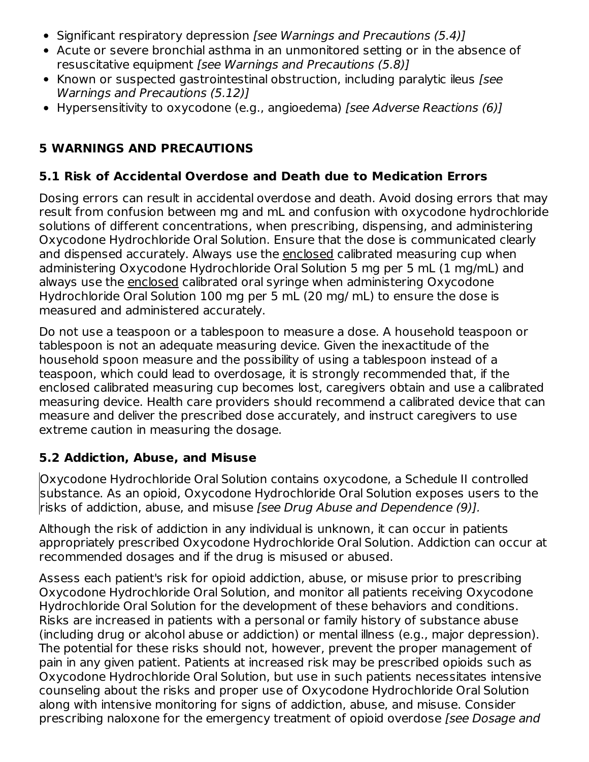- Significant respiratory depression [see Warnings and Precautions (5.4)]
- Acute or severe bronchial asthma in an unmonitored setting or in the absence of resuscitative equipment [see Warnings and Precautions (5.8)]
- Known or suspected gastrointestinal obstruction, including paralytic ileus [see Warnings and Precautions (5.12)]
- Hypersensitivity to oxycodone (e.g., angioedema) [see Adverse Reactions (6)]

# **5 WARNINGS AND PRECAUTIONS**

# **5.1 Risk of Accidental Overdose and Death due to Medication Errors**

Dosing errors can result in accidental overdose and death. Avoid dosing errors that may result from confusion between mg and mL and confusion with oxycodone hydrochloride solutions of different concentrations, when prescribing, dispensing, and administering Oxycodone Hydrochloride Oral Solution. Ensure that the dose is communicated clearly and dispensed accurately. Always use the enclosed calibrated measuring cup when administering Oxycodone Hydrochloride Oral Solution 5 mg per 5 mL (1 mg/mL) and always use the enclosed calibrated oral syringe when administering Oxycodone Hydrochloride Oral Solution 100 mg per 5 mL (20 mg/ mL) to ensure the dose is measured and administered accurately.

Do not use a teaspoon or a tablespoon to measure a dose. A household teaspoon or tablespoon is not an adequate measuring device. Given the inexactitude of the household spoon measure and the possibility of using a tablespoon instead of a teaspoon, which could lead to overdosage, it is strongly recommended that, if the enclosed calibrated measuring cup becomes lost, caregivers obtain and use a calibrated measuring device. Health care providers should recommend a calibrated device that can measure and deliver the prescribed dose accurately, and instruct caregivers to use extreme caution in measuring the dosage.

# **5.2 Addiction, Abuse, and Misuse**

Oxycodone Hydrochloride Oral Solution contains oxycodone, a Schedule II controlled substance. As an opioid, Oxycodone Hydrochloride Oral Solution exposes users to the risks of addiction, abuse, and misuse [see Drug Abuse and Dependence (9)].

Although the risk of addiction in any individual is unknown, it can occur in patients appropriately prescribed Oxycodone Hydrochloride Oral Solution. Addiction can occur at recommended dosages and if the drug is misused or abused.

Assess each patient's risk for opioid addiction, abuse, or misuse prior to prescribing Oxycodone Hydrochloride Oral Solution, and monitor all patients receiving Oxycodone Hydrochloride Oral Solution for the development of these behaviors and conditions. Risks are increased in patients with a personal or family history of substance abuse (including drug or alcohol abuse or addiction) or mental illness (e.g., major depression). The potential for these risks should not, however, prevent the proper management of pain in any given patient. Patients at increased risk may be prescribed opioids such as Oxycodone Hydrochloride Oral Solution, but use in such patients necessitates intensive counseling about the risks and proper use of Oxycodone Hydrochloride Oral Solution along with intensive monitoring for signs of addiction, abuse, and misuse. Consider prescribing naloxone for the emergency treatment of opioid overdose [see Dosage and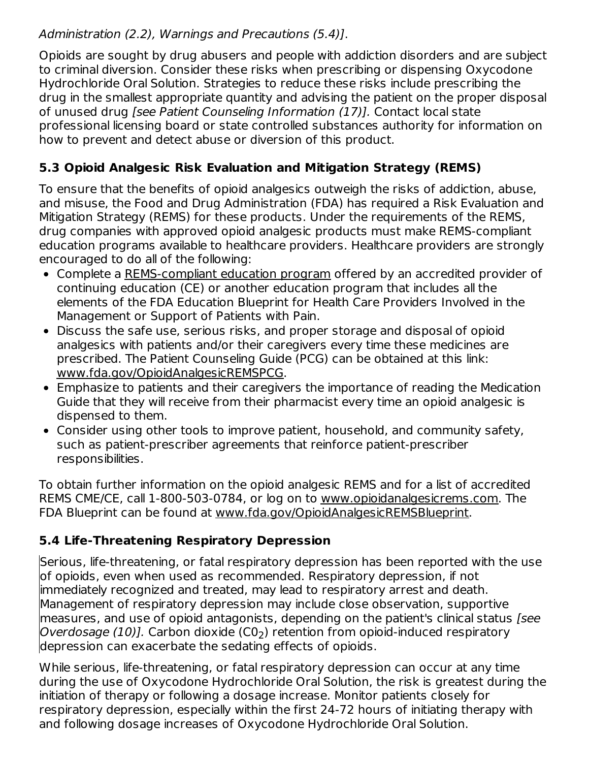# Administration (2.2), Warnings and Precautions (5.4)].

Opioids are sought by drug abusers and people with addiction disorders and are subject to criminal diversion. Consider these risks when prescribing or dispensing Oxycodone Hydrochloride Oral Solution. Strategies to reduce these risks include prescribing the drug in the smallest appropriate quantity and advising the patient on the proper disposal of unused drug [see Patient Counseling Information (17)]. Contact local state professional licensing board or state controlled substances authority for information on how to prevent and detect abuse or diversion of this product.

# **5.3 Opioid Analgesic Risk Evaluation and Mitigation Strategy (REMS)**

To ensure that the benefits of opioid analgesics outweigh the risks of addiction, abuse, and misuse, the Food and Drug Administration (FDA) has required a Risk Evaluation and Mitigation Strategy (REMS) for these products. Under the requirements of the REMS, drug companies with approved opioid analgesic products must make REMS-compliant education programs available to healthcare providers. Healthcare providers are strongly encouraged to do all of the following:

- Complete a REMS-compliant education program offered by an accredited provider of continuing education (CE) or another education program that includes all the elements of the FDA Education Blueprint for Health Care Providers Involved in the Management or Support of Patients with Pain.
- Discuss the safe use, serious risks, and proper storage and disposal of opioid analgesics with patients and/or their caregivers every time these medicines are prescribed. The Patient Counseling Guide (PCG) can be obtained at this link: www.fda.gov/OpioidAnalgesicREMSPCG.
- Emphasize to patients and their caregivers the importance of reading the Medication Guide that they will receive from their pharmacist every time an opioid analgesic is dispensed to them.
- Consider using other tools to improve patient, household, and community safety, such as patient-prescriber agreements that reinforce patient-prescriber responsibilities.

To obtain further information on the opioid analgesic REMS and for a list of accredited REMS CME/CE, call 1-800-503-0784, or log on to www.opioidanalgesicrems.com. The FDA Blueprint can be found at www.fda.gov/OpioidAnalgesicREMSBlueprint.

# **5.4 Life-Threatening Respiratory Depression**

Serious, life-threatening, or fatal respiratory depression has been reported with the use of opioids, even when used as recommended. Respiratory depression, if not immediately recognized and treated, may lead to respiratory arrest and death. Management of respiratory depression may include close observation, supportive measures, and use of opioid antagonists, depending on the patient's clinical status *[see*] *Overdosage (10)]. C*arbon dioxide (C0<sub>2</sub>) retention from opioid-induced respiratory depression can exacerbate the sedating effects of opioids.

While serious, life-threatening, or fatal respiratory depression can occur at any time during the use of Oxycodone Hydrochloride Oral Solution, the risk is greatest during the initiation of therapy or following a dosage increase. Monitor patients closely for respiratory depression, especially within the first 24-72 hours of initiating therapy with and following dosage increases of Oxycodone Hydrochloride Oral Solution.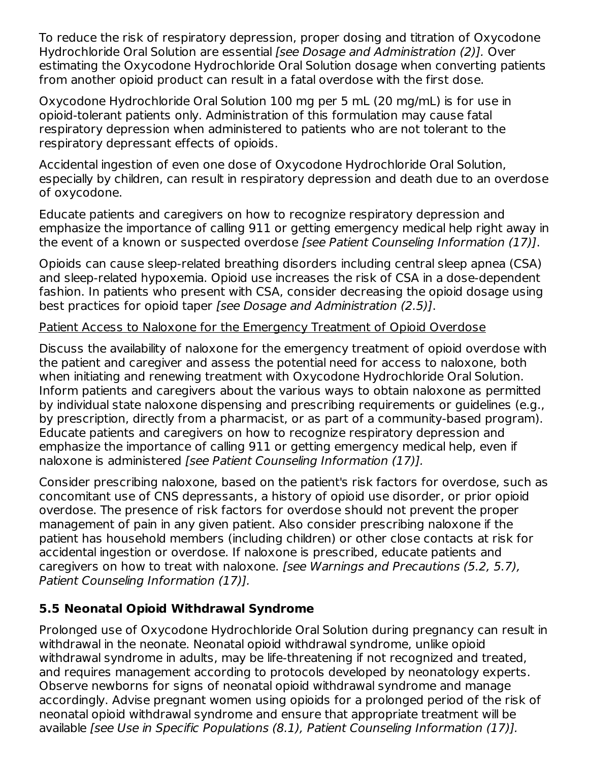To reduce the risk of respiratory depression, proper dosing and titration of Oxycodone Hydrochloride Oral Solution are essential [see Dosage and Administration (2)]. Over estimating the Oxycodone Hydrochloride Oral Solution dosage when converting patients from another opioid product can result in a fatal overdose with the first dose.

Oxycodone Hydrochloride Oral Solution 100 mg per 5 mL (20 mg/mL) is for use in opioid-tolerant patients only. Administration of this formulation may cause fatal respiratory depression when administered to patients who are not tolerant to the respiratory depressant effects of opioids.

Accidental ingestion of even one dose of Oxycodone Hydrochloride Oral Solution, especially by children, can result in respiratory depression and death due to an overdose of oxycodone.

Educate patients and caregivers on how to recognize respiratory depression and emphasize the importance of calling 911 or getting emergency medical help right away in the event of a known or suspected overdose [see Patient Counseling Information (17)].

Opioids can cause sleep-related breathing disorders including central sleep apnea (CSA) and sleep-related hypoxemia. Opioid use increases the risk of CSA in a dose-dependent fashion. In patients who present with CSA, consider decreasing the opioid dosage using best practices for opioid taper [see Dosage and Administration (2.5)].

### Patient Access to Naloxone for the Emergency Treatment of Opioid Overdose

Discuss the availability of naloxone for the emergency treatment of opioid overdose with the patient and caregiver and assess the potential need for access to naloxone, both when initiating and renewing treatment with Oxycodone Hydrochloride Oral Solution. Inform patients and caregivers about the various ways to obtain naloxone as permitted by individual state naloxone dispensing and prescribing requirements or guidelines (e.g., by prescription, directly from a pharmacist, or as part of a community-based program). Educate patients and caregivers on how to recognize respiratory depression and emphasize the importance of calling 911 or getting emergency medical help, even if naloxone is administered [see Patient Counseling Information (17)].

Consider prescribing naloxone, based on the patient's risk factors for overdose, such as concomitant use of CNS depressants, a history of opioid use disorder, or prior opioid overdose. The presence of risk factors for overdose should not prevent the proper management of pain in any given patient. Also consider prescribing naloxone if the patient has household members (including children) or other close contacts at risk for accidental ingestion or overdose. If naloxone is prescribed, educate patients and caregivers on how to treat with naloxone. [see Warnings and Precautions (5.2, 5.7), Patient Counseling Information (17)].

# **5.5 Neonatal Opioid Withdrawal Syndrome**

Prolonged use of Oxycodone Hydrochloride Oral Solution during pregnancy can result in withdrawal in the neonate. Neonatal opioid withdrawal syndrome, unlike opioid withdrawal syndrome in adults, may be life-threatening if not recognized and treated, and requires management according to protocols developed by neonatology experts. Observe newborns for signs of neonatal opioid withdrawal syndrome and manage accordingly. Advise pregnant women using opioids for a prolonged period of the risk of neonatal opioid withdrawal syndrome and ensure that appropriate treatment will be available [see Use in Specific Populations (8.1), Patient Counseling Information (17)].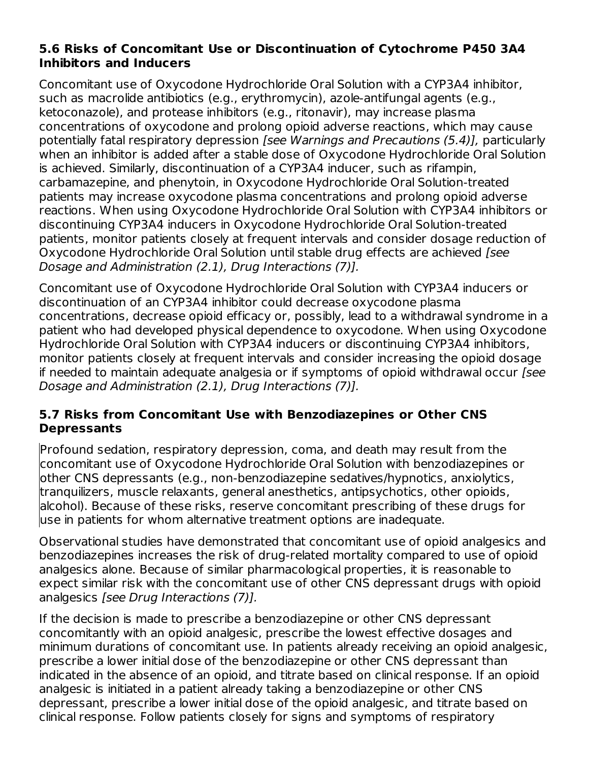### **5.6 Risks of Concomitant Use or Discontinuation of Cytochrome P450 3A4 Inhibitors and Inducers**

Concomitant use of Oxycodone Hydrochloride Oral Solution with a CYP3A4 inhibitor, such as macrolide antibiotics (e.g., erythromycin), azole-antifungal agents (e.g., ketoconazole), and protease inhibitors (e.g., ritonavir), may increase plasma concentrations of oxycodone and prolong opioid adverse reactions, which may cause potentially fatal respiratory depression [see Warnings and Precautions (5.4)], particularly when an inhibitor is added after a stable dose of Oxycodone Hydrochloride Oral Solution is achieved. Similarly, discontinuation of a CYP3A4 inducer, such as rifampin, carbamazepine, and phenytoin, in Oxycodone Hydrochloride Oral Solution-treated patients may increase oxycodone plasma concentrations and prolong opioid adverse reactions. When using Oxycodone Hydrochloride Oral Solution with CYP3A4 inhibitors or discontinuing CYP3A4 inducers in Oxycodone Hydrochloride Oral Solution-treated patients, monitor patients closely at frequent intervals and consider dosage reduction of Oxycodone Hydrochloride Oral Solution until stable drug effects are achieved [see Dosage and Administration (2.1), Drug Interactions (7)].

Concomitant use of Oxycodone Hydrochloride Oral Solution with CYP3A4 inducers or discontinuation of an CYP3A4 inhibitor could decrease oxycodone plasma concentrations, decrease opioid efficacy or, possibly, lead to a withdrawal syndrome in a patient who had developed physical dependence to oxycodone. When using Oxycodone Hydrochloride Oral Solution with CYP3A4 inducers or discontinuing CYP3A4 inhibitors, monitor patients closely at frequent intervals and consider increasing the opioid dosage if needed to maintain adequate analgesia or if symptoms of opioid withdrawal occur [see Dosage and Administration (2.1), Drug Interactions (7)].

# **5.7 Risks from Concomitant Use with Benzodiazepines or Other CNS Depressants**

Profound sedation, respiratory depression, coma, and death may result from the concomitant use of Oxycodone Hydrochloride Oral Solution with benzodiazepines or other CNS depressants (e.g., non-benzodiazepine sedatives/hypnotics, anxiolytics, tranquilizers, muscle relaxants, general anesthetics, antipsychotics, other opioids, alcohol). Because of these risks, reserve concomitant prescribing of these drugs for use in patients for whom alternative treatment options are inadequate.

Observational studies have demonstrated that concomitant use of opioid analgesics and benzodiazepines increases the risk of drug-related mortality compared to use of opioid analgesics alone. Because of similar pharmacological properties, it is reasonable to expect similar risk with the concomitant use of other CNS depressant drugs with opioid analgesics [see Drug Interactions (7)].

If the decision is made to prescribe a benzodiazepine or other CNS depressant concomitantly with an opioid analgesic, prescribe the lowest effective dosages and minimum durations of concomitant use. In patients already receiving an opioid analgesic, prescribe a lower initial dose of the benzodiazepine or other CNS depressant than indicated in the absence of an opioid, and titrate based on clinical response. If an opioid analgesic is initiated in a patient already taking a benzodiazepine or other CNS depressant, prescribe a lower initial dose of the opioid analgesic, and titrate based on clinical response. Follow patients closely for signs and symptoms of respiratory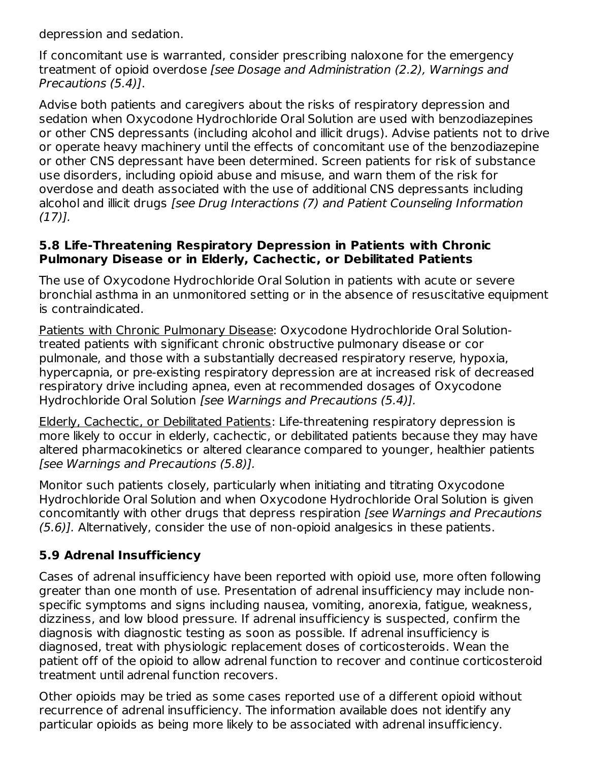depression and sedation.

If concomitant use is warranted, consider prescribing naloxone for the emergency treatment of opioid overdose [see Dosage and Administration (2.2), Warnings and Precautions (5.4)].

Advise both patients and caregivers about the risks of respiratory depression and sedation when Oxycodone Hydrochloride Oral Solution are used with benzodiazepines or other CNS depressants (including alcohol and illicit drugs). Advise patients not to drive or operate heavy machinery until the effects of concomitant use of the benzodiazepine or other CNS depressant have been determined. Screen patients for risk of substance use disorders, including opioid abuse and misuse, and warn them of the risk for overdose and death associated with the use of additional CNS depressants including alcohol and illicit drugs [see Drug Interactions (7) and Patient Counseling Information  $(17)$ ].

#### **5.8 Life-Threatening Respiratory Depression in Patients with Chronic Pulmonary Disease or in Elderly, Cachectic, or Debilitated Patients**

The use of Oxycodone Hydrochloride Oral Solution in patients with acute or severe bronchial asthma in an unmonitored setting or in the absence of resuscitative equipment is contraindicated.

Patients with Chronic Pulmonary Disease: Oxycodone Hydrochloride Oral Solutiontreated patients with significant chronic obstructive pulmonary disease or cor pulmonale, and those with a substantially decreased respiratory reserve, hypoxia, hypercapnia, or pre-existing respiratory depression are at increased risk of decreased respiratory drive including apnea, even at recommended dosages of Oxycodone Hydrochloride Oral Solution [see Warnings and Precautions (5.4)].

Elderly, Cachectic, or Debilitated Patients: Life-threatening respiratory depression is more likely to occur in elderly, cachectic, or debilitated patients because they may have altered pharmacokinetics or altered clearance compared to younger, healthier patients [see Warnings and Precautions (5.8)].

Monitor such patients closely, particularly when initiating and titrating Oxycodone Hydrochloride Oral Solution and when Oxycodone Hydrochloride Oral Solution is given concomitantly with other drugs that depress respiration [see Warnings and Precautions (5.6)]. Alternatively, consider the use of non-opioid analgesics in these patients.

# **5.9 Adrenal Insufficiency**

Cases of adrenal insufficiency have been reported with opioid use, more often following greater than one month of use. Presentation of adrenal insufficiency may include nonspecific symptoms and signs including nausea, vomiting, anorexia, fatigue, weakness, dizziness, and low blood pressure. If adrenal insufficiency is suspected, confirm the diagnosis with diagnostic testing as soon as possible. If adrenal insufficiency is diagnosed, treat with physiologic replacement doses of corticosteroids. Wean the patient off of the opioid to allow adrenal function to recover and continue corticosteroid treatment until adrenal function recovers.

Other opioids may be tried as some cases reported use of a different opioid without recurrence of adrenal insufficiency. The information available does not identify any particular opioids as being more likely to be associated with adrenal insufficiency.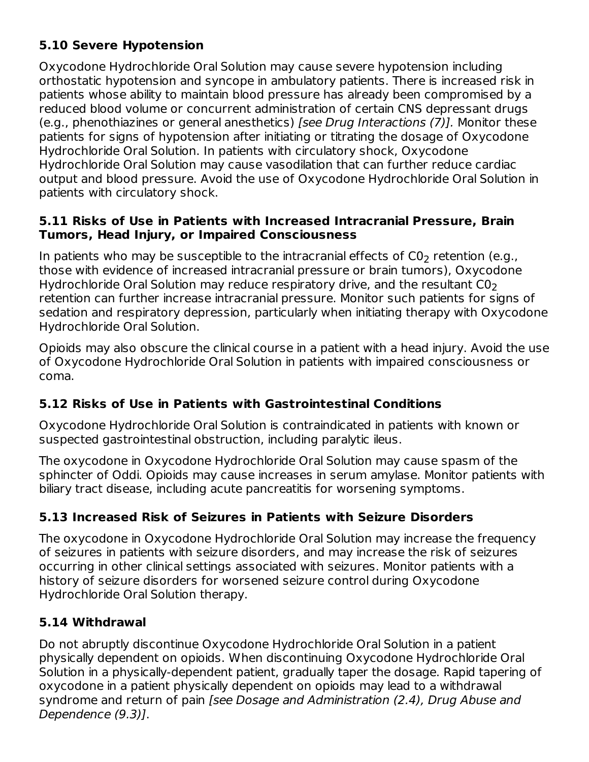# **5.10 Severe Hypotension**

Oxycodone Hydrochloride Oral Solution may cause severe hypotension including orthostatic hypotension and syncope in ambulatory patients. There is increased risk in patients whose ability to maintain blood pressure has already been compromised by a reduced blood volume or concurrent administration of certain CNS depressant drugs (e.g., phenothiazines or general anesthetics) [see Drug Interactions (7)]. Monitor these patients for signs of hypotension after initiating or titrating the dosage of Oxycodone Hydrochloride Oral Solution. In patients with circulatory shock, Oxycodone Hydrochloride Oral Solution may cause vasodilation that can further reduce cardiac output and blood pressure. Avoid the use of Oxycodone Hydrochloride Oral Solution in patients with circulatory shock.

### **5.11 Risks of Use in Patients with Increased Intracranial Pressure, Brain Tumors, Head Injury, or Impaired Consciousness**

In patients who may be susceptible to the intracranial effects of C0 $_{\rm 2}$  retention (e.g., those with evidence of increased intracranial pressure or brain tumors), Oxycodone Hydrochloride Oral Solution may reduce respiratory drive, and the resultant  $\mathsf{CO}_{2}$ retention can further increase intracranial pressure. Monitor such patients for signs of sedation and respiratory depression, particularly when initiating therapy with Oxycodone Hydrochloride Oral Solution.

Opioids may also obscure the clinical course in a patient with a head injury. Avoid the use of Oxycodone Hydrochloride Oral Solution in patients with impaired consciousness or coma.

# **5.12 Risks of Use in Patients with Gastrointestinal Conditions**

Oxycodone Hydrochloride Oral Solution is contraindicated in patients with known or suspected gastrointestinal obstruction, including paralytic ileus.

The oxycodone in Oxycodone Hydrochloride Oral Solution may cause spasm of the sphincter of Oddi. Opioids may cause increases in serum amylase. Monitor patients with biliary tract disease, including acute pancreatitis for worsening symptoms.

# **5.13 Increased Risk of Seizures in Patients with Seizure Disorders**

The oxycodone in Oxycodone Hydrochloride Oral Solution may increase the frequency of seizures in patients with seizure disorders, and may increase the risk of seizures occurring in other clinical settings associated with seizures. Monitor patients with a history of seizure disorders for worsened seizure control during Oxycodone Hydrochloride Oral Solution therapy.

# **5.14 Withdrawal**

Do not abruptly discontinue Oxycodone Hydrochloride Oral Solution in a patient physically dependent on opioids. When discontinuing Oxycodone Hydrochloride Oral Solution in a physically-dependent patient, gradually taper the dosage. Rapid tapering of oxycodone in a patient physically dependent on opioids may lead to a withdrawal syndrome and return of pain [see Dosage and Administration (2.4), Drug Abuse and Dependence (9.3)].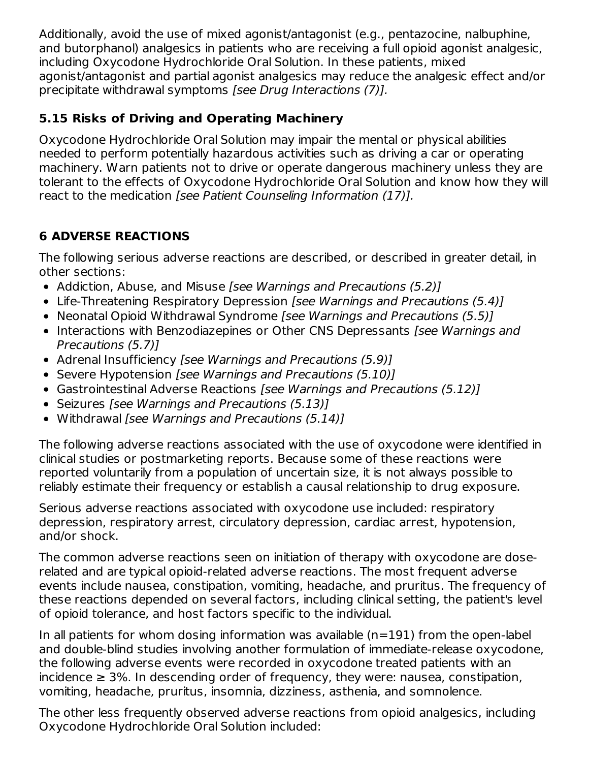Additionally, avoid the use of mixed agonist/antagonist (e.g., pentazocine, nalbuphine, and butorphanol) analgesics in patients who are receiving a full opioid agonist analgesic, including Oxycodone Hydrochloride Oral Solution. In these patients, mixed agonist/antagonist and partial agonist analgesics may reduce the analgesic effect and/or precipitate withdrawal symptoms [see Drug Interactions (7)].

# **5.15 Risks of Driving and Operating Machinery**

Oxycodone Hydrochloride Oral Solution may impair the mental or physical abilities needed to perform potentially hazardous activities such as driving a car or operating machinery. Warn patients not to drive or operate dangerous machinery unless they are tolerant to the effects of Oxycodone Hydrochloride Oral Solution and know how they will react to the medication [see Patient Counseling Information (17)].

# **6 ADVERSE REACTIONS**

The following serious adverse reactions are described, or described in greater detail, in other sections:

- Addiction, Abuse, and Misuse [see Warnings and Precautions (5.2)]
- Life-Threatening Respiratory Depression [see Warnings and Precautions (5.4)]
- Neonatal Opioid Withdrawal Syndrome [see Warnings and Precautions (5.5)]
- Interactions with Benzodiazepines or Other CNS Depressants [see Warnings and Precautions (5.7)]
- Adrenal Insufficiency [see Warnings and Precautions (5.9)]
- Severe Hypotension [see Warnings and Precautions (5.10)]
- Gastrointestinal Adverse Reactions [see Warnings and Precautions (5.12)]
- Seizures [see Warnings and Precautions (5.13)]
- Withdrawal [see Warnings and Precautions (5.14)]

The following adverse reactions associated with the use of oxycodone were identified in clinical studies or postmarketing reports. Because some of these reactions were reported voluntarily from a population of uncertain size, it is not always possible to reliably estimate their frequency or establish a causal relationship to drug exposure.

Serious adverse reactions associated with oxycodone use included: respiratory depression, respiratory arrest, circulatory depression, cardiac arrest, hypotension, and/or shock.

The common adverse reactions seen on initiation of therapy with oxycodone are doserelated and are typical opioid-related adverse reactions. The most frequent adverse events include nausea, constipation, vomiting, headache, and pruritus. The frequency of these reactions depended on several factors, including clinical setting, the patient's level of opioid tolerance, and host factors specific to the individual.

In all patients for whom dosing information was available  $(n=191)$  from the open-label and double-blind studies involving another formulation of immediate-release oxycodone, the following adverse events were recorded in oxycodone treated patients with an  $incidence \geq 3\%$ . In descending order of frequency, they were: nausea, constipation, vomiting, headache, pruritus, insomnia, dizziness, asthenia, and somnolence.

The other less frequently observed adverse reactions from opioid analgesics, including Oxycodone Hydrochloride Oral Solution included: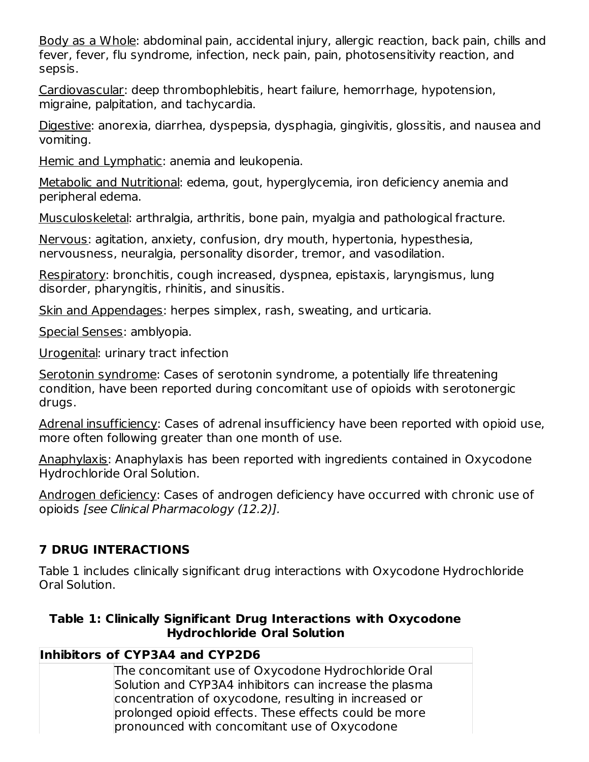Body as a Whole: abdominal pain, accidental injury, allergic reaction, back pain, chills and fever, fever, flu syndrome, infection, neck pain, pain, photosensitivity reaction, and sepsis.

Cardiovascular: deep thrombophlebitis, heart failure, hemorrhage, hypotension, migraine, palpitation, and tachycardia.

Digestive: anorexia, diarrhea, dyspepsia, dysphagia, gingivitis, glossitis, and nausea and vomiting.

Hemic and Lymphatic: anemia and leukopenia.

Metabolic and Nutritional: edema, gout, hyperglycemia, iron deficiency anemia and peripheral edema.

Musculoskeletal: arthralgia, arthritis, bone pain, myalgia and pathological fracture.

Nervous: agitation, anxiety, confusion, dry mouth, hypertonia, hypesthesia, nervousness, neuralgia, personality disorder, tremor, and vasodilation.

Respiratory: bronchitis, cough increased, dyspnea, epistaxis, laryngismus, lung disorder, pharyngitis, rhinitis, and sinusitis.

Skin and Appendages: herpes simplex, rash, sweating, and urticaria.

Special Senses: amblyopia.

Urogenital: urinary tract infection

Serotonin syndrome: Cases of serotonin syndrome, a potentially life threatening condition, have been reported during concomitant use of opioids with serotonergic drugs.

Adrenal insufficiency: Cases of adrenal insufficiency have been reported with opioid use, more often following greater than one month of use.

Anaphylaxis: Anaphylaxis has been reported with ingredients contained in Oxycodone Hydrochloride Oral Solution.

Androgen deficiency: Cases of androgen deficiency have occurred with chronic use of opioids [see Clinical Pharmacology (12.2)].

# **7 DRUG INTERACTIONS**

Table 1 includes clinically significant drug interactions with Oxycodone Hydrochloride Oral Solution.

### **Table 1: Clinically Significant Drug Interactions with Oxycodone Hydrochloride Oral Solution**

# **Inhibitors of CYP3A4 and CYP2D6**

The concomitant use of Oxycodone Hydrochloride Oral Solution and CYP3A4 inhibitors can increase the plasma concentration of oxycodone, resulting in increased or prolonged opioid effects. These effects could be more pronounced with concomitant use of Oxycodone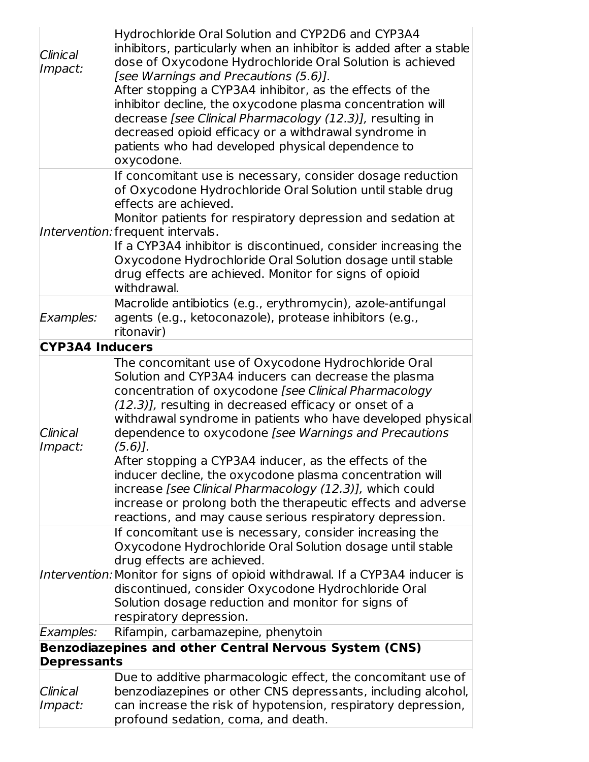| Clinical<br>Impact:    | Hydrochloride Oral Solution and CYP2D6 and CYP3A4<br>inhibitors, particularly when an inhibitor is added after a stable<br>dose of Oxycodone Hydrochloride Oral Solution is achieved<br>[see Warnings and Precautions (5.6)].<br>After stopping a CYP3A4 inhibitor, as the effects of the<br>inhibitor decline, the oxycodone plasma concentration will<br>decrease [see Clinical Pharmacology (12.3)], resulting in<br>decreased opioid efficacy or a withdrawal syndrome in<br>patients who had developed physical dependence to<br>oxycodone.                                                                                                                                  |
|------------------------|-----------------------------------------------------------------------------------------------------------------------------------------------------------------------------------------------------------------------------------------------------------------------------------------------------------------------------------------------------------------------------------------------------------------------------------------------------------------------------------------------------------------------------------------------------------------------------------------------------------------------------------------------------------------------------------|
|                        | If concomitant use is necessary, consider dosage reduction<br>of Oxycodone Hydrochloride Oral Solution until stable drug<br>effects are achieved.<br>Monitor patients for respiratory depression and sedation at<br>Intervention: frequent intervals.<br>If a CYP3A4 inhibitor is discontinued, consider increasing the<br>Oxycodone Hydrochloride Oral Solution dosage until stable<br>drug effects are achieved. Monitor for signs of opioid<br>withdrawal.                                                                                                                                                                                                                     |
| Examples:              | Macrolide antibiotics (e.g., erythromycin), azole-antifungal<br>agents (e.g., ketoconazole), protease inhibitors (e.g.,<br>ritonavir)                                                                                                                                                                                                                                                                                                                                                                                                                                                                                                                                             |
| <b>CYP3A4 Inducers</b> |                                                                                                                                                                                                                                                                                                                                                                                                                                                                                                                                                                                                                                                                                   |
| Clinical<br>Impact:    | The concomitant use of Oxycodone Hydrochloride Oral<br>Solution and CYP3A4 inducers can decrease the plasma<br>concentration of oxycodone [see Clinical Pharmacology<br>(12.3)], resulting in decreased efficacy or onset of a<br>withdrawal syndrome in patients who have developed physical<br>dependence to oxycodone [see Warnings and Precautions<br>$(5.6)$ .<br>After stopping a CYP3A4 inducer, as the effects of the<br>inducer decline, the oxycodone plasma concentration will<br>increase [see Clinical Pharmacology (12.3)], which could<br>increase or prolong both the therapeutic effects and adverse<br>reactions, and may cause serious respiratory depression. |
|                        | If concomitant use is necessary, consider increasing the<br>Oxycodone Hydrochloride Oral Solution dosage until stable<br>drug effects are achieved.<br>Intervention: Monitor for signs of opioid withdrawal. If a CYP3A4 inducer is<br>discontinued, consider Oxycodone Hydrochloride Oral<br>Solution dosage reduction and monitor for signs of<br>respiratory depression.                                                                                                                                                                                                                                                                                                       |
| Examples:              | Rifampin, carbamazepine, phenytoin                                                                                                                                                                                                                                                                                                                                                                                                                                                                                                                                                                                                                                                |
|                        | Benzodiazepines and other Central Nervous System (CNS)                                                                                                                                                                                                                                                                                                                                                                                                                                                                                                                                                                                                                            |
| <b>Depressants</b>     |                                                                                                                                                                                                                                                                                                                                                                                                                                                                                                                                                                                                                                                                                   |
|                        |                                                                                                                                                                                                                                                                                                                                                                                                                                                                                                                                                                                                                                                                                   |
| Clinical               | Due to additive pharmacologic effect, the concomitant use of<br>benzodiazepines or other CNS depressants, including alcohol,                                                                                                                                                                                                                                                                                                                                                                                                                                                                                                                                                      |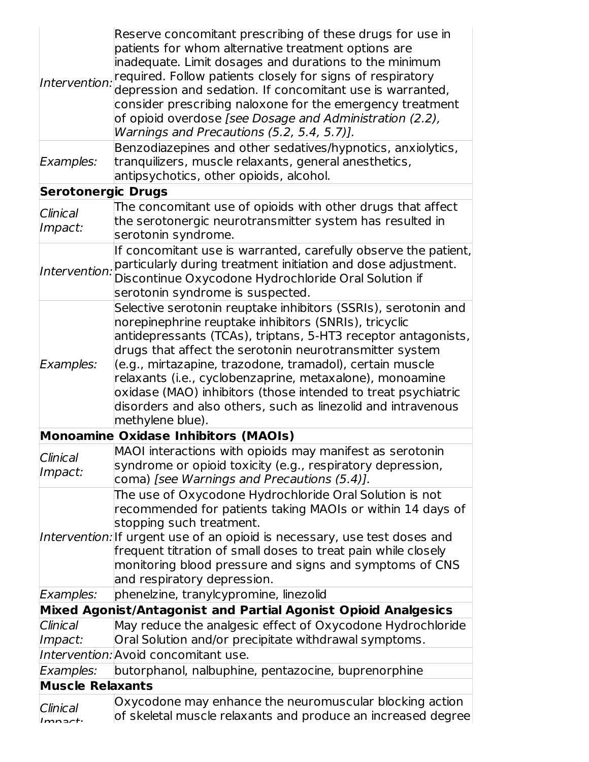| Intervention:             | Reserve concomitant prescribing of these drugs for use in<br>patients for whom alternative treatment options are<br>inadequate. Limit dosages and durations to the minimum<br>required. Follow patients closely for signs of respiratory<br>depression and sedation. If concomitant use is warranted,<br>consider prescribing naloxone for the emergency treatment<br>of opioid overdose [see Dosage and Administration (2.2),<br>Warnings and Precautions (5.2, 5.4, 5.7)].                                                     |  |  |  |
|---------------------------|----------------------------------------------------------------------------------------------------------------------------------------------------------------------------------------------------------------------------------------------------------------------------------------------------------------------------------------------------------------------------------------------------------------------------------------------------------------------------------------------------------------------------------|--|--|--|
| Examples:                 | Benzodiazepines and other sedatives/hypnotics, anxiolytics,<br>tranquilizers, muscle relaxants, general anesthetics,<br>antipsychotics, other opioids, alcohol.                                                                                                                                                                                                                                                                                                                                                                  |  |  |  |
| <b>Serotonergic Drugs</b> |                                                                                                                                                                                                                                                                                                                                                                                                                                                                                                                                  |  |  |  |
| Clinical<br>Impact:       | The concomitant use of opioids with other drugs that affect<br>the serotonergic neurotransmitter system has resulted in<br>serotonin syndrome.                                                                                                                                                                                                                                                                                                                                                                                   |  |  |  |
| Intervention:             | If concomitant use is warranted, carefully observe the patient,<br>particularly during treatment initiation and dose adjustment.<br>Discontinue Oxycodone Hydrochloride Oral Solution if<br>serotonin syndrome is suspected.                                                                                                                                                                                                                                                                                                     |  |  |  |
| Examples:                 | Selective serotonin reuptake inhibitors (SSRIs), serotonin and<br>norepinephrine reuptake inhibitors (SNRIs), tricyclic<br>antidepressants (TCAs), triptans, 5-HT3 receptor antagonists,<br>drugs that affect the serotonin neurotransmitter system<br>(e.g., mirtazapine, trazodone, tramadol), certain muscle<br>relaxants (i.e., cyclobenzaprine, metaxalone), monoamine<br>oxidase (MAO) inhibitors (those intended to treat psychiatric<br>disorders and also others, such as linezolid and intravenous<br>methylene blue). |  |  |  |
|                           | <b>Monoamine Oxidase Inhibitors (MAOIs)</b>                                                                                                                                                                                                                                                                                                                                                                                                                                                                                      |  |  |  |
| Clinical<br>Impact:       | MAOI interactions with opioids may manifest as serotonin<br>syndrome or opioid toxicity (e.g., respiratory depression,<br>coma) [see Warnings and Precautions (5.4)].                                                                                                                                                                                                                                                                                                                                                            |  |  |  |
|                           | The use of Oxycodone Hydrochloride Oral Solution is not<br>recommended for patients taking MAOIs or within 14 days of<br>stopping such treatment.<br>Intervention: If urgent use of an opioid is necessary, use test doses and<br>frequent titration of small doses to treat pain while closely<br>monitoring blood pressure and signs and symptoms of CNS<br>and respiratory depression.                                                                                                                                        |  |  |  |
| Examples:                 | phenelzine, tranylcypromine, linezolid                                                                                                                                                                                                                                                                                                                                                                                                                                                                                           |  |  |  |
|                           | Mixed Agonist/Antagonist and Partial Agonist Opioid Analgesics                                                                                                                                                                                                                                                                                                                                                                                                                                                                   |  |  |  |
| Clinical<br>Impact:       | May reduce the analgesic effect of Oxycodone Hydrochloride<br>Oral Solution and/or precipitate withdrawal symptoms.                                                                                                                                                                                                                                                                                                                                                                                                              |  |  |  |
|                           | Intervention: Avoid concomitant use.                                                                                                                                                                                                                                                                                                                                                                                                                                                                                             |  |  |  |
| Examples:                 | butorphanol, nalbuphine, pentazocine, buprenorphine                                                                                                                                                                                                                                                                                                                                                                                                                                                                              |  |  |  |
| <b>Muscle Relaxants</b>   |                                                                                                                                                                                                                                                                                                                                                                                                                                                                                                                                  |  |  |  |
| Clinical<br>lmn           | Oxycodone may enhance the neuromuscular blocking action<br>of skeletal muscle relaxants and produce an increased degree                                                                                                                                                                                                                                                                                                                                                                                                          |  |  |  |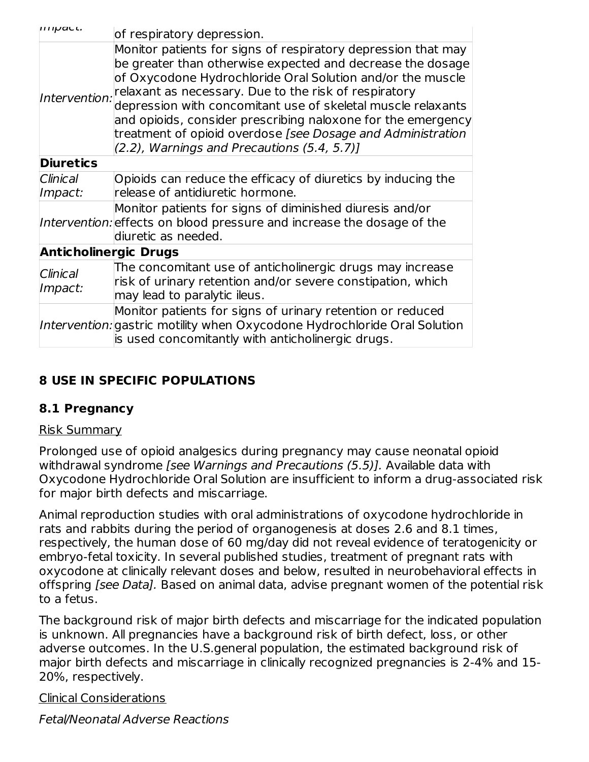| $\mu$ $\mu$ $\mu$ $\mu$ a $\mu$ $\mu$ . | of respiratory depression.                                                                                                                                                                                                                                                                                                                                                                                                                                                                                     |  |  |  |
|-----------------------------------------|----------------------------------------------------------------------------------------------------------------------------------------------------------------------------------------------------------------------------------------------------------------------------------------------------------------------------------------------------------------------------------------------------------------------------------------------------------------------------------------------------------------|--|--|--|
|                                         | Monitor patients for signs of respiratory depression that may<br>be greater than otherwise expected and decrease the dosage<br>of Oxycodone Hydrochloride Oral Solution and/or the muscle<br>Intervention: relaxant as necessary. Due to the risk of respiratory<br>depression with concomitant use of skeletal muscle relaxants<br>and opioids, consider prescribing naloxone for the emergency<br>treatment of opioid overdose [see Dosage and Administration<br>(2.2), Warnings and Precautions (5.4, 5.7)] |  |  |  |
| <b>Diuretics</b>                        |                                                                                                                                                                                                                                                                                                                                                                                                                                                                                                                |  |  |  |
| Clinical<br>Impact:                     | Opioids can reduce the efficacy of diuretics by inducing the<br>release of antidiuretic hormone.                                                                                                                                                                                                                                                                                                                                                                                                               |  |  |  |
|                                         | Monitor patients for signs of diminished diuresis and/or<br>Intervention: effects on blood pressure and increase the dosage of the<br>diuretic as needed.                                                                                                                                                                                                                                                                                                                                                      |  |  |  |
| <b>Anticholinergic Drugs</b>            |                                                                                                                                                                                                                                                                                                                                                                                                                                                                                                                |  |  |  |
| Clinical<br>Impact:                     | The concomitant use of anticholinergic drugs may increase<br>risk of urinary retention and/or severe constipation, which<br>may lead to paralytic ileus.                                                                                                                                                                                                                                                                                                                                                       |  |  |  |
|                                         | Monitor patients for signs of urinary retention or reduced<br>Intervention: gastric motility when Oxycodone Hydrochloride Oral Solution<br>is used concomitantly with anticholinergic drugs.                                                                                                                                                                                                                                                                                                                   |  |  |  |

# **8 USE IN SPECIFIC POPULATIONS**

# **8.1 Pregnancy**

### Risk Summary

Prolonged use of opioid analgesics during pregnancy may cause neonatal opioid withdrawal syndrome [see Warnings and Precautions (5.5)]. Available data with Oxycodone Hydrochloride Oral Solution are insufficient to inform a drug-associated risk for major birth defects and miscarriage.

Animal reproduction studies with oral administrations of oxycodone hydrochloride in rats and rabbits during the period of organogenesis at doses 2.6 and 8.1 times, respectively, the human dose of 60 mg/day did not reveal evidence of teratogenicity or embryo-fetal toxicity. In several published studies, treatment of pregnant rats with oxycodone at clinically relevant doses and below, resulted in neurobehavioral effects in offspring [see Data]. Based on animal data, advise pregnant women of the potential risk to a fetus.

The background risk of major birth defects and miscarriage for the indicated population is unknown. All pregnancies have a background risk of birth defect, loss, or other adverse outcomes. In the U.S.general population, the estimated background risk of major birth defects and miscarriage in clinically recognized pregnancies is 2-4% and 15- 20%, respectively.

Clinical Considerations

Fetal/Neonatal Adverse Reactions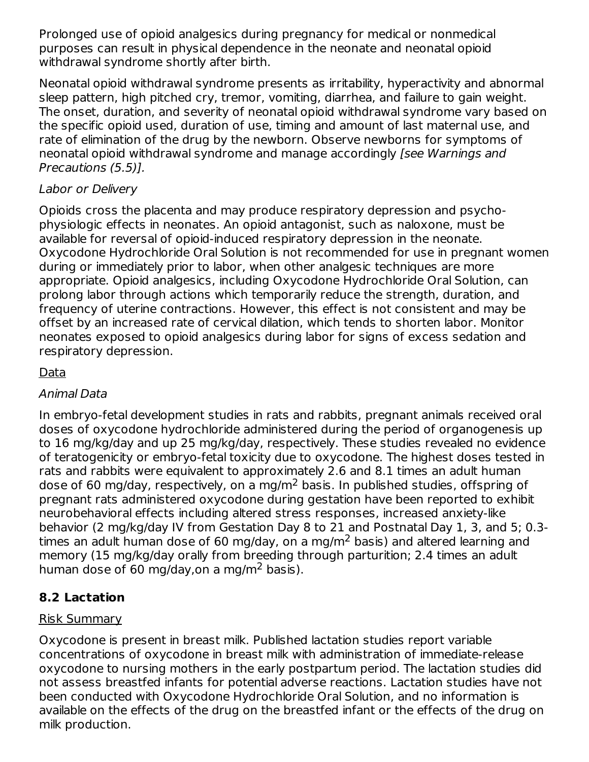Prolonged use of opioid analgesics during pregnancy for medical or nonmedical purposes can result in physical dependence in the neonate and neonatal opioid withdrawal syndrome shortly after birth.

Neonatal opioid withdrawal syndrome presents as irritability, hyperactivity and abnormal sleep pattern, high pitched cry, tremor, vomiting, diarrhea, and failure to gain weight. The onset, duration, and severity of neonatal opioid withdrawal syndrome vary based on the specific opioid used, duration of use, timing and amount of last maternal use, and rate of elimination of the drug by the newborn. Observe newborns for symptoms of neonatal opioid withdrawal syndrome and manage accordingly [see Warnings and Precautions (5.5)].

# Labor or Delivery

Opioids cross the placenta and may produce respiratory depression and psychophysiologic effects in neonates. An opioid antagonist, such as naloxone, must be available for reversal of opioid-induced respiratory depression in the neonate. Oxycodone Hydrochloride Oral Solution is not recommended for use in pregnant women during or immediately prior to labor, when other analgesic techniques are more appropriate. Opioid analgesics, including Oxycodone Hydrochloride Oral Solution, can prolong labor through actions which temporarily reduce the strength, duration, and frequency of uterine contractions. However, this effect is not consistent and may be offset by an increased rate of cervical dilation, which tends to shorten labor. Monitor neonates exposed to opioid analgesics during labor for signs of excess sedation and respiratory depression.

### Data

### Animal Data

In embryo-fetal development studies in rats and rabbits, pregnant animals received oral doses of oxycodone hydrochloride administered during the period of organogenesis up to 16 mg/kg/day and up 25 mg/kg/day, respectively. These studies revealed no evidence of teratogenicity or embryo-fetal toxicity due to oxycodone. The highest doses tested in rats and rabbits were equivalent to approximately 2.6 and 8.1 times an adult human dose of 60 mg/day, respectively, on a mg/m<sup>2</sup> basis. In published studies, offspring of pregnant rats administered oxycodone during gestation have been reported to exhibit neurobehavioral effects including altered stress responses, increased anxiety-like behavior (2 mg/kg/day IV from Gestation Day 8 to 21 and Postnatal Day 1, 3, and 5; 0.3 times an adult human dose of 60 mg/day, on a mg/m<sup>2</sup> basis) and altered learning and memory (15 mg/kg/day orally from breeding through parturition; 2.4 times an adult human dose of 60 mg/day,on a mg/m<sup>2</sup> basis).

# **8.2 Lactation**

# Risk Summary

Oxycodone is present in breast milk. Published lactation studies report variable concentrations of oxycodone in breast milk with administration of immediate-release oxycodone to nursing mothers in the early postpartum period. The lactation studies did not assess breastfed infants for potential adverse reactions. Lactation studies have not been conducted with Oxycodone Hydrochloride Oral Solution, and no information is available on the effects of the drug on the breastfed infant or the effects of the drug on milk production.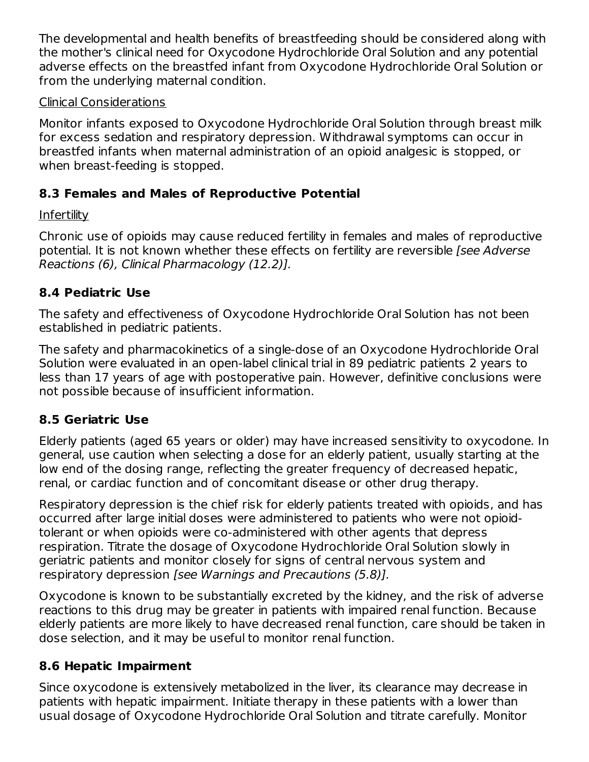The developmental and health benefits of breastfeeding should be considered along with the mother's clinical need for Oxycodone Hydrochloride Oral Solution and any potential adverse effects on the breastfed infant from Oxycodone Hydrochloride Oral Solution or from the underlying maternal condition.

### Clinical Considerations

Monitor infants exposed to Oxycodone Hydrochloride Oral Solution through breast milk for excess sedation and respiratory depression. Withdrawal symptoms can occur in breastfed infants when maternal administration of an opioid analgesic is stopped, or when breast-feeding is stopped.

# **8.3 Females and Males of Reproductive Potential**

# **Infertility**

Chronic use of opioids may cause reduced fertility in females and males of reproductive potential. It is not known whether these effects on fertility are reversible [see Adverse Reactions (6), Clinical Pharmacology (12.2)].

# **8.4 Pediatric Use**

The safety and effectiveness of Oxycodone Hydrochloride Oral Solution has not been established in pediatric patients.

The safety and pharmacokinetics of a single-dose of an Oxycodone Hydrochloride Oral Solution were evaluated in an open-label clinical trial in 89 pediatric patients 2 years to less than 17 years of age with postoperative pain. However, definitive conclusions were not possible because of insufficient information.

# **8.5 Geriatric Use**

Elderly patients (aged 65 years or older) may have increased sensitivity to oxycodone. In general, use caution when selecting a dose for an elderly patient, usually starting at the low end of the dosing range, reflecting the greater frequency of decreased hepatic, renal, or cardiac function and of concomitant disease or other drug therapy.

Respiratory depression is the chief risk for elderly patients treated with opioids, and has occurred after large initial doses were administered to patients who were not opioidtolerant or when opioids were co-administered with other agents that depress respiration. Titrate the dosage of Oxycodone Hydrochloride Oral Solution slowly in geriatric patients and monitor closely for signs of central nervous system and respiratory depression [see Warnings and Precautions (5.8)].

Oxycodone is known to be substantially excreted by the kidney, and the risk of adverse reactions to this drug may be greater in patients with impaired renal function. Because elderly patients are more likely to have decreased renal function, care should be taken in dose selection, and it may be useful to monitor renal function.

# **8.6 Hepatic Impairment**

Since oxycodone is extensively metabolized in the liver, its clearance may decrease in patients with hepatic impairment. Initiate therapy in these patients with a lower than usual dosage of Oxycodone Hydrochloride Oral Solution and titrate carefully. Monitor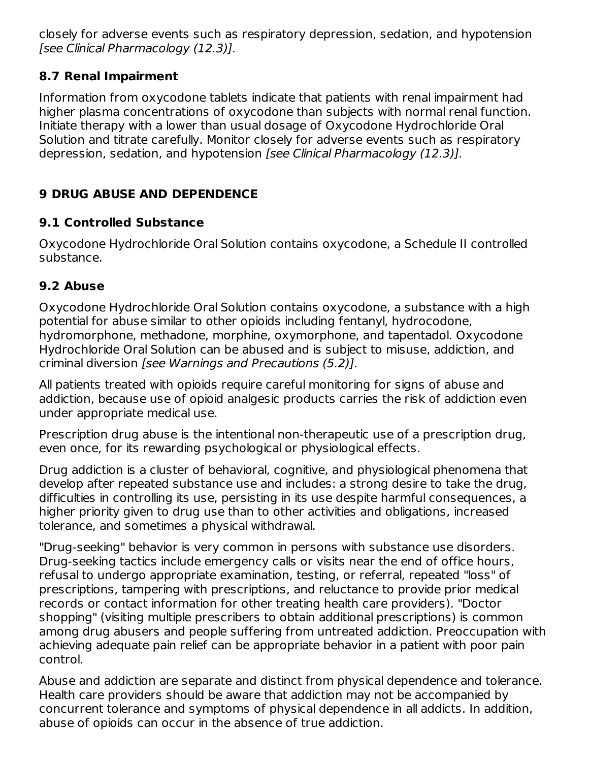closely for adverse events such as respiratory depression, sedation, and hypotension [see Clinical Pharmacology (12.3)].

# **8.7 Renal Impairment**

Information from oxycodone tablets indicate that patients with renal impairment had higher plasma concentrations of oxycodone than subjects with normal renal function. Initiate therapy with a lower than usual dosage of Oxycodone Hydrochloride Oral Solution and titrate carefully. Monitor closely for adverse events such as respiratory depression, sedation, and hypotension [see Clinical Pharmacology (12.3)].

# **9 DRUG ABUSE AND DEPENDENCE**

# **9.1 Controlled Substance**

Oxycodone Hydrochloride Oral Solution contains oxycodone, a Schedule II controlled substance.

# **9.2 Abuse**

Oxycodone Hydrochloride Oral Solution contains oxycodone, a substance with a high potential for abuse similar to other opioids including fentanyl, hydrocodone, hydromorphone, methadone, morphine, oxymorphone, and tapentadol. Oxycodone Hydrochloride Oral Solution can be abused and is subject to misuse, addiction, and criminal diversion [see Warnings and Precautions (5.2)].

All patients treated with opioids require careful monitoring for signs of abuse and addiction, because use of opioid analgesic products carries the risk of addiction even under appropriate medical use.

Prescription drug abuse is the intentional non-therapeutic use of a prescription drug, even once, for its rewarding psychological or physiological effects.

Drug addiction is a cluster of behavioral, cognitive, and physiological phenomena that develop after repeated substance use and includes: a strong desire to take the drug, difficulties in controlling its use, persisting in its use despite harmful consequences, a higher priority given to drug use than to other activities and obligations, increased tolerance, and sometimes a physical withdrawal.

"Drug-seeking" behavior is very common in persons with substance use disorders. Drug-seeking tactics include emergency calls or visits near the end of office hours, refusal to undergo appropriate examination, testing, or referral, repeated "loss" of prescriptions, tampering with prescriptions, and reluctance to provide prior medical records or contact information for other treating health care providers). "Doctor shopping" (visiting multiple prescribers to obtain additional prescriptions) is common among drug abusers and people suffering from untreated addiction. Preoccupation with achieving adequate pain relief can be appropriate behavior in a patient with poor pain control.

Abuse and addiction are separate and distinct from physical dependence and tolerance. Health care providers should be aware that addiction may not be accompanied by concurrent tolerance and symptoms of physical dependence in all addicts. In addition, abuse of opioids can occur in the absence of true addiction.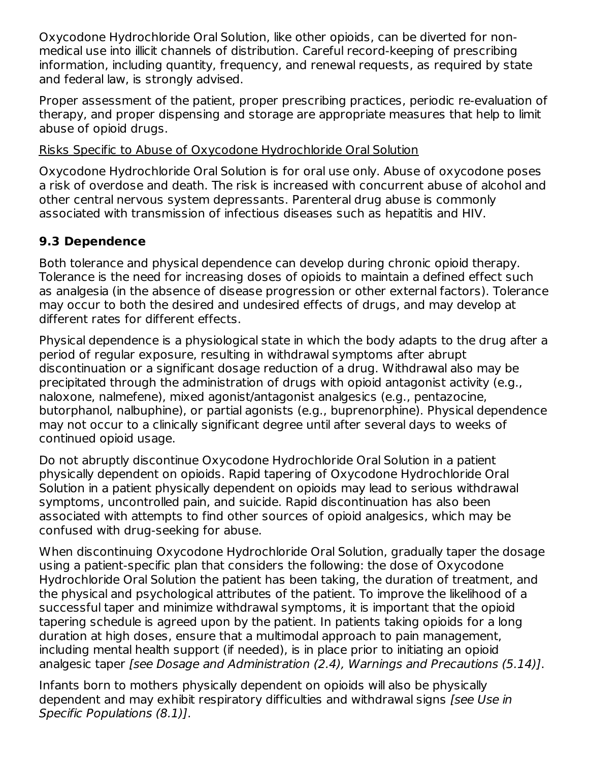Oxycodone Hydrochloride Oral Solution, like other opioids, can be diverted for nonmedical use into illicit channels of distribution. Careful record-keeping of prescribing information, including quantity, frequency, and renewal requests, as required by state and federal law, is strongly advised.

Proper assessment of the patient, proper prescribing practices, periodic re-evaluation of therapy, and proper dispensing and storage are appropriate measures that help to limit abuse of opioid drugs.

### Risks Specific to Abuse of Oxycodone Hydrochloride Oral Solution

Oxycodone Hydrochloride Oral Solution is for oral use only. Abuse of oxycodone poses a risk of overdose and death. The risk is increased with concurrent abuse of alcohol and other central nervous system depressants. Parenteral drug abuse is commonly associated with transmission of infectious diseases such as hepatitis and HIV.

# **9.3 Dependence**

Both tolerance and physical dependence can develop during chronic opioid therapy. Tolerance is the need for increasing doses of opioids to maintain a defined effect such as analgesia (in the absence of disease progression or other external factors). Tolerance may occur to both the desired and undesired effects of drugs, and may develop at different rates for different effects.

Physical dependence is a physiological state in which the body adapts to the drug after a period of regular exposure, resulting in withdrawal symptoms after abrupt discontinuation or a significant dosage reduction of a drug. Withdrawal also may be precipitated through the administration of drugs with opioid antagonist activity (e.g., naloxone, nalmefene), mixed agonist/antagonist analgesics (e.g., pentazocine, butorphanol, nalbuphine), or partial agonists (e.g., buprenorphine). Physical dependence may not occur to a clinically significant degree until after several days to weeks of continued opioid usage.

Do not abruptly discontinue Oxycodone Hydrochloride Oral Solution in a patient physically dependent on opioids. Rapid tapering of Oxycodone Hydrochloride Oral Solution in a patient physically dependent on opioids may lead to serious withdrawal symptoms, uncontrolled pain, and suicide. Rapid discontinuation has also been associated with attempts to find other sources of opioid analgesics, which may be confused with drug-seeking for abuse.

When discontinuing Oxycodone Hydrochloride Oral Solution, gradually taper the dosage using a patient-specific plan that considers the following: the dose of Oxycodone Hydrochloride Oral Solution the patient has been taking, the duration of treatment, and the physical and psychological attributes of the patient. To improve the likelihood of a successful taper and minimize withdrawal symptoms, it is important that the opioid tapering schedule is agreed upon by the patient. In patients taking opioids for a long duration at high doses, ensure that a multimodal approach to pain management, including mental health support (if needed), is in place prior to initiating an opioid analgesic taper [see Dosage and Administration (2.4), Warnings and Precautions (5.14)].

Infants born to mothers physically dependent on opioids will also be physically dependent and may exhibit respiratory difficulties and withdrawal signs [see Use in Specific Populations (8.1)].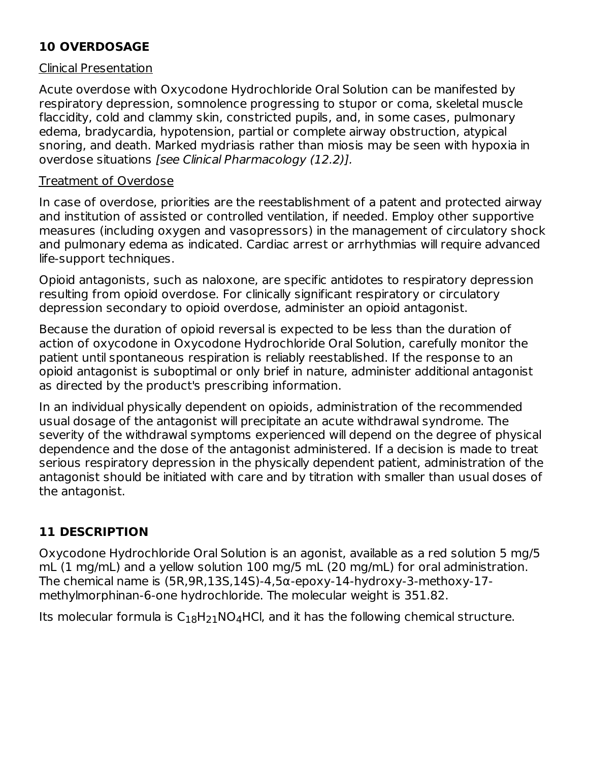# **10 OVERDOSAGE**

### Clinical Presentation

Acute overdose with Oxycodone Hydrochloride Oral Solution can be manifested by respiratory depression, somnolence progressing to stupor or coma, skeletal muscle flaccidity, cold and clammy skin, constricted pupils, and, in some cases, pulmonary edema, bradycardia, hypotension, partial or complete airway obstruction, atypical snoring, and death. Marked mydriasis rather than miosis may be seen with hypoxia in overdose situations [see Clinical Pharmacology (12.2)].

### Treatment of Overdose

In case of overdose, priorities are the reestablishment of a patent and protected airway and institution of assisted or controlled ventilation, if needed. Employ other supportive measures (including oxygen and vasopressors) in the management of circulatory shock and pulmonary edema as indicated. Cardiac arrest or arrhythmias will require advanced life-support techniques.

Opioid antagonists, such as naloxone, are specific antidotes to respiratory depression resulting from opioid overdose. For clinically significant respiratory or circulatory depression secondary to opioid overdose, administer an opioid antagonist.

Because the duration of opioid reversal is expected to be less than the duration of action of oxycodone in Oxycodone Hydrochloride Oral Solution, carefully monitor the patient until spontaneous respiration is reliably reestablished. If the response to an opioid antagonist is suboptimal or only brief in nature, administer additional antagonist as directed by the product's prescribing information.

In an individual physically dependent on opioids, administration of the recommended usual dosage of the antagonist will precipitate an acute withdrawal syndrome. The severity of the withdrawal symptoms experienced will depend on the degree of physical dependence and the dose of the antagonist administered. If a decision is made to treat serious respiratory depression in the physically dependent patient, administration of the antagonist should be initiated with care and by titration with smaller than usual doses of the antagonist.

# **11 DESCRIPTION**

Oxycodone Hydrochloride Oral Solution is an agonist, available as a red solution 5 mg/5 mL (1 mg/mL) and a yellow solution 100 mg/5 mL (20 mg/mL) for oral administration. The chemical name is (5R,9R,13S,14S)-4,5α-epoxy-14-hydroxy-3-methoxy-17 methylmorphinan-6-one hydrochloride. The molecular weight is 351.82.

Its molecular formula is  $C_{18}H_{21}NO_4$ HCl, and it has the following chemical structure.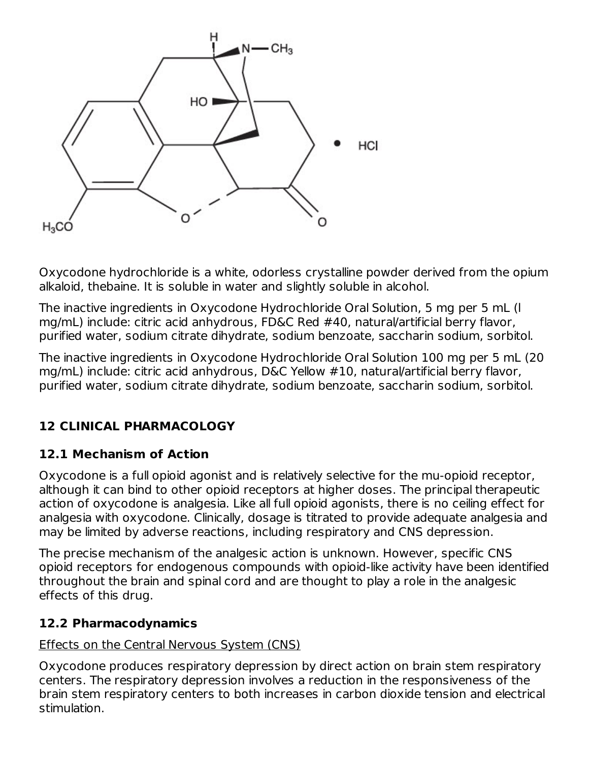

Oxycodone hydrochloride is a white, odorless crystalline powder derived from the opium alkaloid, thebaine. It is soluble in water and slightly soluble in alcohol.

The inactive ingredients in Oxycodone Hydrochloride Oral Solution, 5 mg per 5 mL (l mg/mL) include: citric acid anhydrous, FD&C Red #40, natural/artificial berry flavor, purified water, sodium citrate dihydrate, sodium benzoate, saccharin sodium, sorbitol.

The inactive ingredients in Oxycodone Hydrochloride Oral Solution 100 mg per 5 mL (20 mg/mL) include: citric acid anhydrous, D&C Yellow #10, natural/artificial berry flavor, purified water, sodium citrate dihydrate, sodium benzoate, saccharin sodium, sorbitol.

# **12 CLINICAL PHARMACOLOGY**

# **12.1 Mechanism of Action**

Oxycodone is a full opioid agonist and is relatively selective for the mu-opioid receptor, although it can bind to other opioid receptors at higher doses. The principal therapeutic action of oxycodone is analgesia. Like all full opioid agonists, there is no ceiling effect for analgesia with oxycodone. Clinically, dosage is titrated to provide adequate analgesia and may be limited by adverse reactions, including respiratory and CNS depression.

The precise mechanism of the analgesic action is unknown. However, specific CNS opioid receptors for endogenous compounds with opioid-like activity have been identified throughout the brain and spinal cord and are thought to play a role in the analgesic effects of this drug.

# **12.2 Pharmacodynamics**

# Effects on the Central Nervous System (CNS)

Oxycodone produces respiratory depression by direct action on brain stem respiratory centers. The respiratory depression involves a reduction in the responsiveness of the brain stem respiratory centers to both increases in carbon dioxide tension and electrical stimulation.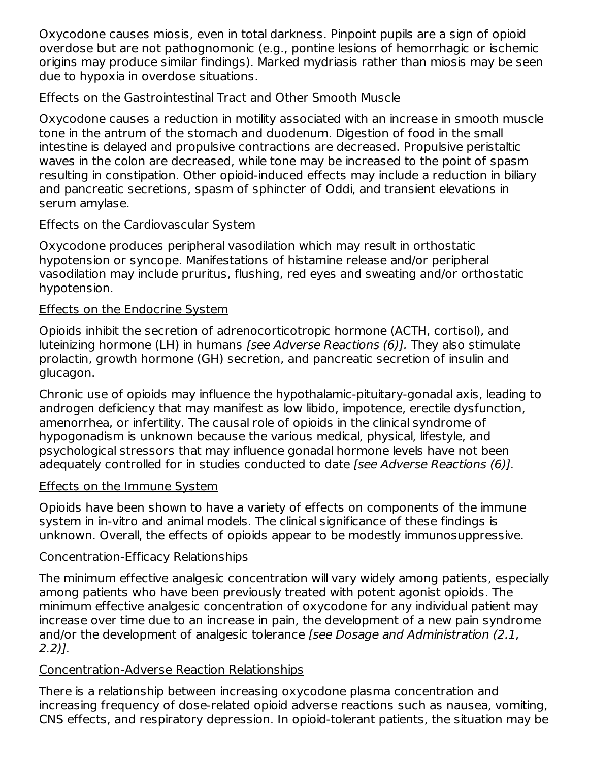Oxycodone causes miosis, even in total darkness. Pinpoint pupils are a sign of opioid overdose but are not pathognomonic (e.g., pontine lesions of hemorrhagic or ischemic origins may produce similar findings). Marked mydriasis rather than miosis may be seen due to hypoxia in overdose situations.

### Effects on the Gastrointestinal Tract and Other Smooth Muscle

Oxycodone causes a reduction in motility associated with an increase in smooth muscle tone in the antrum of the stomach and duodenum. Digestion of food in the small intestine is delayed and propulsive contractions are decreased. Propulsive peristaltic waves in the colon are decreased, while tone may be increased to the point of spasm resulting in constipation. Other opioid-induced effects may include a reduction in biliary and pancreatic secretions, spasm of sphincter of Oddi, and transient elevations in serum amylase.

# Effects on the Cardiovascular System

Oxycodone produces peripheral vasodilation which may result in orthostatic hypotension or syncope. Manifestations of histamine release and/or peripheral vasodilation may include pruritus, flushing, red eyes and sweating and/or orthostatic hypotension.

# Effects on the Endocrine System

Opioids inhibit the secretion of adrenocorticotropic hormone (ACTH, cortisol), and luteinizing hormone (LH) in humans [see Adverse Reactions (6)]. They also stimulate prolactin, growth hormone (GH) secretion, and pancreatic secretion of insulin and glucagon.

Chronic use of opioids may influence the hypothalamic-pituitary-gonadal axis, leading to androgen deficiency that may manifest as low libido, impotence, erectile dysfunction, amenorrhea, or infertility. The causal role of opioids in the clinical syndrome of hypogonadism is unknown because the various medical, physical, lifestyle, and psychological stressors that may influence gonadal hormone levels have not been adequately controlled for in studies conducted to date [see Adverse Reactions (6)].

# Effects on the Immune System

Opioids have been shown to have a variety of effects on components of the immune system in in-vitro and animal models. The clinical significance of these findings is unknown. Overall, the effects of opioids appear to be modestly immunosuppressive.

# Concentration-Efficacy Relationships

The minimum effective analgesic concentration will vary widely among patients, especially among patients who have been previously treated with potent agonist opioids. The minimum effective analgesic concentration of oxycodone for any individual patient may increase over time due to an increase in pain, the development of a new pain syndrome and/or the development of analgesic tolerance [see Dosage and Administration (2.1, 2.2)].

# Concentration-Adverse Reaction Relationships

There is a relationship between increasing oxycodone plasma concentration and increasing frequency of dose-related opioid adverse reactions such as nausea, vomiting, CNS effects, and respiratory depression. In opioid-tolerant patients, the situation may be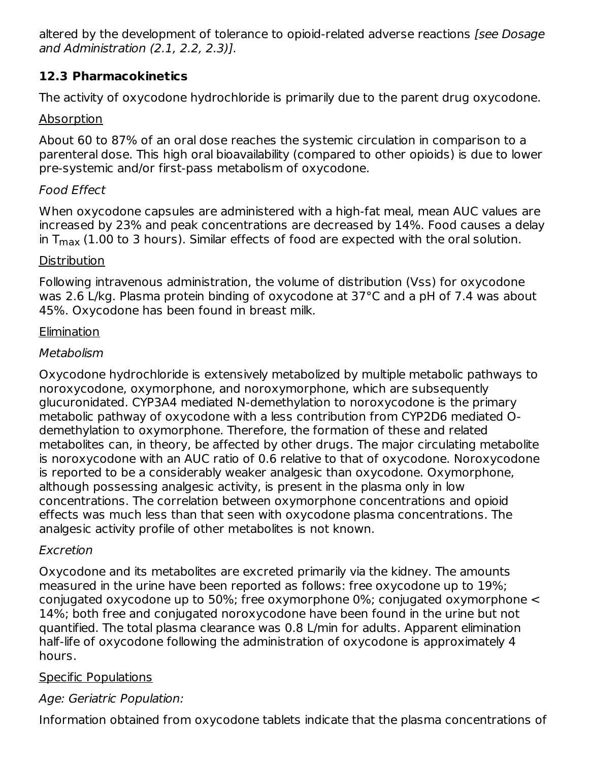altered by the development of tolerance to opioid-related adverse reactions [see Dosage and Administration (2.1, 2.2, 2.3)].

# **12.3 Pharmacokinetics**

The activity of oxycodone hydrochloride is primarily due to the parent drug oxycodone.

# Absorption

About 60 to 87% of an oral dose reaches the systemic circulation in comparison to a parenteral dose. This high oral bioavailability (compared to other opioids) is due to lower pre-systemic and/or first-pass metabolism of oxycodone.

# Food Effect

When oxycodone capsules are administered with a high-fat meal, mean AUC values are increased by 23% and peak concentrations are decreased by 14%. Food causes a delay in T $_{\sf max}$  (1.00 to 3 hours). Similar effects of food are expected with the oral solution.

# **Distribution**

Following intravenous administration, the volume of distribution (Vss) for oxycodone was 2.6 L/kg. Plasma protein binding of oxycodone at 37°C and a pH of 7.4 was about 45%. Oxycodone has been found in breast milk.

# **Elimination**

# Metabolism

Oxycodone hydrochloride is extensively metabolized by multiple metabolic pathways to noroxycodone, oxymorphone, and noroxymorphone, which are subsequently glucuronidated. CYP3A4 mediated N-demethylation to noroxycodone is the primary metabolic pathway of oxycodone with a less contribution from CYP2D6 mediated Odemethylation to oxymorphone. Therefore, the formation of these and related metabolites can, in theory, be affected by other drugs. The major circulating metabolite is noroxycodone with an AUC ratio of 0.6 relative to that of oxycodone. Noroxycodone is reported to be a considerably weaker analgesic than oxycodone. Oxymorphone, although possessing analgesic activity, is present in the plasma only in low concentrations. The correlation between oxymorphone concentrations and opioid effects was much less than that seen with oxycodone plasma concentrations. The analgesic activity profile of other metabolites is not known.

# Excretion

Oxycodone and its metabolites are excreted primarily via the kidney. The amounts measured in the urine have been reported as follows: free oxycodone up to 19%; conjugated oxycodone up to 50%; free oxymorphone 0%; conjugated oxymorphone < 14%; both free and conjugated noroxycodone have been found in the urine but not quantified. The total plasma clearance was 0.8 L/min for adults. Apparent elimination half-life of oxycodone following the administration of oxycodone is approximately 4 hours.

# Specific Populations

# Age: Geriatric Population:

Information obtained from oxycodone tablets indicate that the plasma concentrations of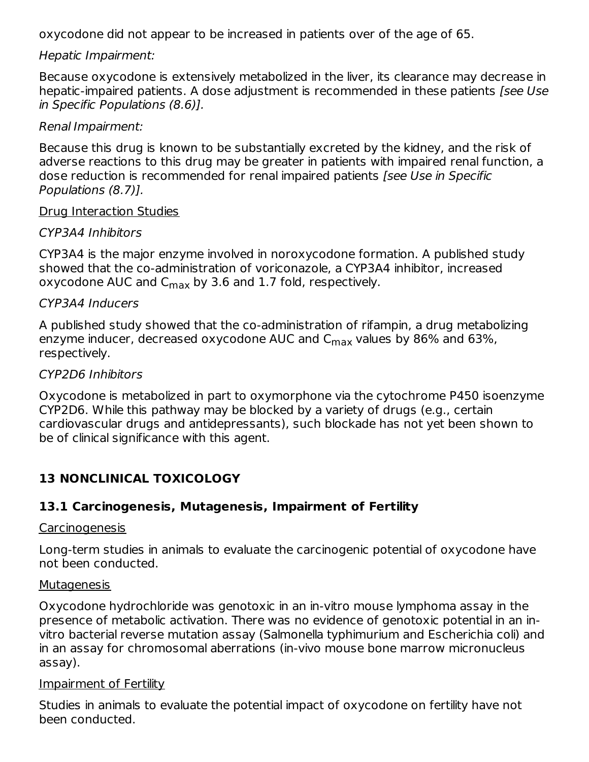oxycodone did not appear to be increased in patients over of the age of 65.

#### Hepatic Impairment:

Because oxycodone is extensively metabolized in the liver, its clearance may decrease in hepatic-impaired patients. A dose adjustment is recommended in these patients [see Use in Specific Populations (8.6)].

#### Renal Impairment:

Because this drug is known to be substantially excreted by the kidney, and the risk of adverse reactions to this drug may be greater in patients with impaired renal function, a dose reduction is recommended for renal impaired patients [see Use in Specific Populations (8.7)].

#### Drug Interaction Studies

#### CYP3A4 Inhibitors

CYP3A4 is the major enzyme involved in noroxycodone formation. A published study showed that the co-administration of voriconazole, a CYP3A4 inhibitor, increased oxycodone AUC and  $\mathsf{C}_{\mathsf{max}}$  by 3.6 and 1.7 fold, respectively.

#### CYP3A4 Inducers

A published study showed that the co-administration of rifampin, a drug metabolizing enzyme inducer, decreased oxycodone AUC and  $\mathsf{C}_{\mathsf{max}}$  values by 86% and 63%, respectively.

#### CYP2D6 Inhibitors

Oxycodone is metabolized in part to oxymorphone via the cytochrome P450 isoenzyme CYP2D6. While this pathway may be blocked by a variety of drugs (e.g., certain cardiovascular drugs and antidepressants), such blockade has not yet been shown to be of clinical significance with this agent.

# **13 NONCLINICAL TOXICOLOGY**

### **13.1 Carcinogenesis, Mutagenesis, Impairment of Fertility**

#### Carcinogenesis

Long-term studies in animals to evaluate the carcinogenic potential of oxycodone have not been conducted.

#### **Mutagenesis**

Oxycodone hydrochloride was genotoxic in an in-vitro mouse lymphoma assay in the presence of metabolic activation. There was no evidence of genotoxic potential in an invitro bacterial reverse mutation assay (Salmonella typhimurium and Escherichia coli) and in an assay for chromosomal aberrations (in-vivo mouse bone marrow micronucleus assay).

#### Impairment of Fertility

Studies in animals to evaluate the potential impact of oxycodone on fertility have not been conducted.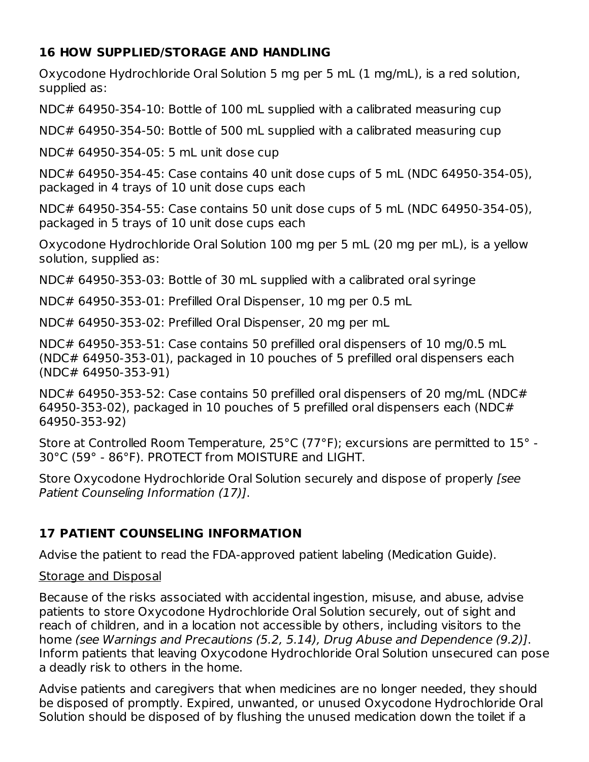# **16 HOW SUPPLIED/STORAGE AND HANDLING**

Oxycodone Hydrochloride Oral Solution 5 mg per 5 mL (1 mg/mL), is a red solution, supplied as:

NDC# 64950-354-10: Bottle of 100 mL supplied with a calibrated measuring cup

NDC# 64950-354-50: Bottle of 500 mL supplied with a calibrated measuring cup

NDC# 64950-354-05: 5 mL unit dose cup

NDC# 64950-354-45: Case contains 40 unit dose cups of 5 mL (NDC 64950-354-05), packaged in 4 trays of 10 unit dose cups each

NDC# 64950-354-55: Case contains 50 unit dose cups of 5 mL (NDC 64950-354-05), packaged in 5 trays of 10 unit dose cups each

Oxycodone Hydrochloride Oral Solution 100 mg per 5 mL (20 mg per mL), is a yellow solution, supplied as:

NDC# 64950-353-03: Bottle of 30 mL supplied with a calibrated oral syringe

NDC# 64950-353-01: Prefilled Oral Dispenser, 10 mg per 0.5 mL

NDC# 64950-353-02: Prefilled Oral Dispenser, 20 mg per mL

NDC# 64950-353-51: Case contains 50 prefilled oral dispensers of 10 mg/0.5 mL (NDC# 64950-353-01), packaged in 10 pouches of 5 prefilled oral dispensers each (NDC# 64950-353-91)

NDC# 64950-353-52: Case contains 50 prefilled oral dispensers of 20 mg/mL (NDC# 64950-353-02), packaged in 10 pouches of 5 prefilled oral dispensers each (NDC# 64950-353-92)

Store at Controlled Room Temperature, 25°C (77°F); excursions are permitted to 15° - 30°C (59° - 86°F). PROTECT from MOISTURE and LIGHT.

Store Oxycodone Hydrochloride Oral Solution securely and dispose of properly [see Patient Counseling Information (17)].

# **17 PATIENT COUNSELING INFORMATION**

Advise the patient to read the FDA-approved patient labeling (Medication Guide).

# Storage and Disposal

Because of the risks associated with accidental ingestion, misuse, and abuse, advise patients to store Oxycodone Hydrochloride Oral Solution securely, out of sight and reach of children, and in a location not accessible by others, including visitors to the home (see Warnings and Precautions (5.2, 5.14), Drug Abuse and Dependence (9.2)]. Inform patients that leaving Oxycodone Hydrochloride Oral Solution unsecured can pose a deadly risk to others in the home.

Advise patients and caregivers that when medicines are no longer needed, they should be disposed of promptly. Expired, unwanted, or unused Oxycodone Hydrochloride Oral Solution should be disposed of by flushing the unused medication down the toilet if a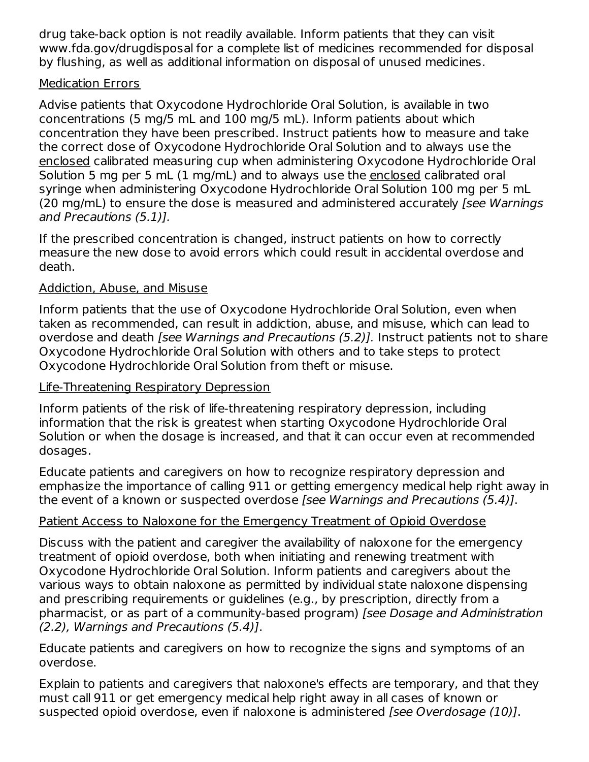drug take-back option is not readily available. Inform patients that they can visit www.fda.gov/drugdisposal for a complete list of medicines recommended for disposal by flushing, as well as additional information on disposal of unused medicines.

### Medication Errors

Advise patients that Oxycodone Hydrochloride Oral Solution, is available in two concentrations (5 mg/5 mL and 100 mg/5 mL). Inform patients about which concentration they have been prescribed. Instruct patients how to measure and take the correct dose of Oxycodone Hydrochloride Oral Solution and to always use the enclosed calibrated measuring cup when administering Oxycodone Hydrochloride Oral Solution 5 mg per 5 mL (1 mg/mL) and to always use the enclosed calibrated oral syringe when administering Oxycodone Hydrochloride Oral Solution 100 mg per 5 mL (20 mg/mL) to ensure the dose is measured and administered accurately [see Warnings] and Precautions (5.1)].

If the prescribed concentration is changed, instruct patients on how to correctly measure the new dose to avoid errors which could result in accidental overdose and death.

# Addiction, Abuse, and Misuse

Inform patients that the use of Oxycodone Hydrochloride Oral Solution, even when taken as recommended, can result in addiction, abuse, and misuse, which can lead to overdose and death [see Warnings and Precautions (5.2)]. Instruct patients not to share Oxycodone Hydrochloride Oral Solution with others and to take steps to protect Oxycodone Hydrochloride Oral Solution from theft or misuse.

### Life-Threatening Respiratory Depression

Inform patients of the risk of life-threatening respiratory depression, including information that the risk is greatest when starting Oxycodone Hydrochloride Oral Solution or when the dosage is increased, and that it can occur even at recommended dosages.

Educate patients and caregivers on how to recognize respiratory depression and emphasize the importance of calling 911 or getting emergency medical help right away in the event of a known or suspected overdose [see Warnings and Precautions (5.4)].

# Patient Access to Naloxone for the Emergency Treatment of Opioid Overdose

Discuss with the patient and caregiver the availability of naloxone for the emergency treatment of opioid overdose, both when initiating and renewing treatment with Oxycodone Hydrochloride Oral Solution. Inform patients and caregivers about the various ways to obtain naloxone as permitted by individual state naloxone dispensing and prescribing requirements or guidelines (e.g., by prescription, directly from a pharmacist, or as part of a community-based program) [see Dosage and Administration (2.2), Warnings and Precautions (5.4)].

Educate patients and caregivers on how to recognize the signs and symptoms of an overdose.

Explain to patients and caregivers that naloxone's effects are temporary, and that they must call 911 or get emergency medical help right away in all cases of known or suspected opioid overdose, even if naloxone is administered [see Overdosage (10)].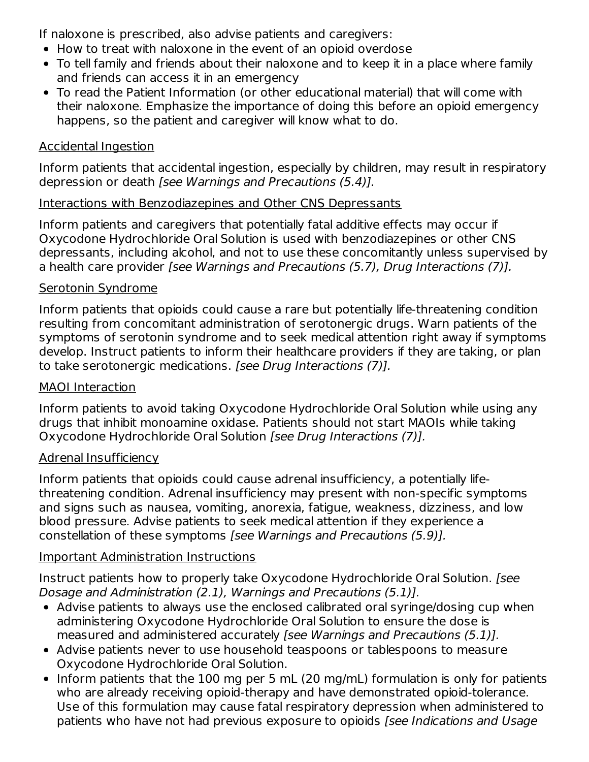If naloxone is prescribed, also advise patients and caregivers:

- How to treat with naloxone in the event of an opioid overdose
- To tell family and friends about their naloxone and to keep it in a place where family and friends can access it in an emergency
- To read the Patient Information (or other educational material) that will come with their naloxone. Emphasize the importance of doing this before an opioid emergency happens, so the patient and caregiver will know what to do.

### Accidental Ingestion

Inform patients that accidental ingestion, especially by children, may result in respiratory depression or death [see Warnings and Precautions (5.4)].

### Interactions with Benzodiazepines and Other CNS Depressants

Inform patients and caregivers that potentially fatal additive effects may occur if Oxycodone Hydrochloride Oral Solution is used with benzodiazepines or other CNS depressants, including alcohol, and not to use these concomitantly unless supervised by a health care provider [see Warnings and Precautions (5.7), Drug Interactions (7)].

### Serotonin Syndrome

Inform patients that opioids could cause a rare but potentially life-threatening condition resulting from concomitant administration of serotonergic drugs. Warn patients of the symptoms of serotonin syndrome and to seek medical attention right away if symptoms develop. Instruct patients to inform their healthcare providers if they are taking, or plan to take serotonergic medications. [see Drug Interactions (7)].

### MAOI Interaction

Inform patients to avoid taking Oxycodone Hydrochloride Oral Solution while using any drugs that inhibit monoamine oxidase. Patients should not start MAOIs while taking Oxycodone Hydrochloride Oral Solution [see Drug Interactions (7)].

### Adrenal Insufficiency

Inform patients that opioids could cause adrenal insufficiency, a potentially lifethreatening condition. Adrenal insufficiency may present with non-specific symptoms and signs such as nausea, vomiting, anorexia, fatigue, weakness, dizziness, and low blood pressure. Advise patients to seek medical attention if they experience a constellation of these symptoms [see Warnings and Precautions (5.9)].

# Important Administration Instructions

Instruct patients how to properly take Oxycodone Hydrochloride Oral Solution. [see Dosage and Administration (2.1), Warnings and Precautions (5.1)].

- Advise patients to always use the enclosed calibrated oral syringe/dosing cup when administering Oxycodone Hydrochloride Oral Solution to ensure the dose is measured and administered accurately [see Warnings and Precautions (5.1)].
- Advise patients never to use household teaspoons or tablespoons to measure Oxycodone Hydrochloride Oral Solution.
- Inform patients that the 100 mg per 5 mL (20 mg/mL) formulation is only for patients who are already receiving opioid-therapy and have demonstrated opioid-tolerance. Use of this formulation may cause fatal respiratory depression when administered to patients who have not had previous exposure to opioids [see Indications and Usage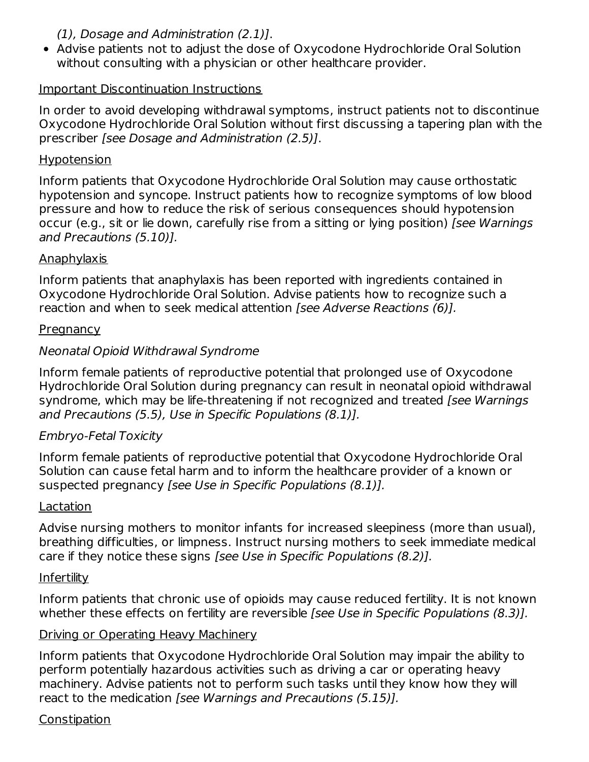### (1), Dosage and Administration (2.1)].

Advise patients not to adjust the dose of Oxycodone Hydrochloride Oral Solution without consulting with a physician or other healthcare provider.

### Important Discontinuation Instructions

In order to avoid developing withdrawal symptoms, instruct patients not to discontinue Oxycodone Hydrochloride Oral Solution without first discussing a tapering plan with the prescriber [see Dosage and Administration (2.5)].

#### Hypotension

Inform patients that Oxycodone Hydrochloride Oral Solution may cause orthostatic hypotension and syncope. Instruct patients how to recognize symptoms of low blood pressure and how to reduce the risk of serious consequences should hypotension occur (e.g., sit or lie down, carefully rise from a sitting or lying position) [see Warnings and Precautions (5.10)].

### Anaphylaxis

Inform patients that anaphylaxis has been reported with ingredients contained in Oxycodone Hydrochloride Oral Solution. Advise patients how to recognize such a reaction and when to seek medical attention *[see Adverse Reactions (6)].* 

### **Pregnancy**

### Neonatal Opioid Withdrawal Syndrome

Inform female patients of reproductive potential that prolonged use of Oxycodone Hydrochloride Oral Solution during pregnancy can result in neonatal opioid withdrawal syndrome, which may be life-threatening if not recognized and treated [see Warnings] and Precautions (5.5), Use in Specific Populations (8.1)].

### Embryo-Fetal Toxicity

Inform female patients of reproductive potential that Oxycodone Hydrochloride Oral Solution can cause fetal harm and to inform the healthcare provider of a known or suspected pregnancy [see Use in Specific Populations (8.1)].

### Lactation

Advise nursing mothers to monitor infants for increased sleepiness (more than usual), breathing difficulties, or limpness. Instruct nursing mothers to seek immediate medical care if they notice these signs [see Use in Specific Populations (8.2)].

### Infertility

Inform patients that chronic use of opioids may cause reduced fertility. It is not known whether these effects on fertility are reversible [see Use in Specific Populations (8.3)].

### Driving or Operating Heavy Machinery

Inform patients that Oxycodone Hydrochloride Oral Solution may impair the ability to perform potentially hazardous activities such as driving a car or operating heavy machinery. Advise patients not to perform such tasks until they know how they will react to the medication [see Warnings and Precautions (5.15)].

#### **Constipation**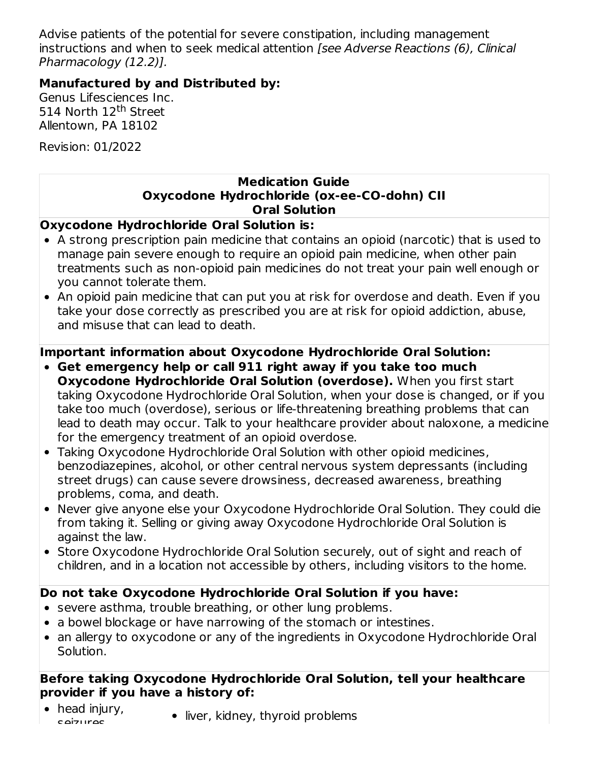Advise patients of the potential for severe constipation, including management instructions and when to seek medical attention [see Adverse Reactions (6), Clinical Pharmacology (12.2)].

### **Manufactured by and Distributed by:**

Genus Lifesciences Inc. 514 North 12<sup>th</sup> Street Allentown, PA 18102

Revision: 01/2022

### **Medication Guide Oxycodone Hydrochloride (ox-ee-CO-dohn) CII Oral Solution**

**Oxycodone Hydrochloride Oral Solution is:**

- A strong prescription pain medicine that contains an opioid (narcotic) that is used to manage pain severe enough to require an opioid pain medicine, when other pain treatments such as non-opioid pain medicines do not treat your pain well enough or you cannot tolerate them.
- An opioid pain medicine that can put you at risk for overdose and death. Even if you take your dose correctly as prescribed you are at risk for opioid addiction, abuse, and misuse that can lead to death.

# **Important information about Oxycodone Hydrochloride Oral Solution:**

- **Get emergency help or call 911 right away if you take too much Oxycodone Hydrochloride Oral Solution (overdose).** When you first start taking Oxycodone Hydrochloride Oral Solution, when your dose is changed, or if you take too much (overdose), serious or life-threatening breathing problems that can lead to death may occur. Talk to your healthcare provider about naloxone, a medicine for the emergency treatment of an opioid overdose.
- Taking Oxycodone Hydrochloride Oral Solution with other opioid medicines, benzodiazepines, alcohol, or other central nervous system depressants (including street drugs) can cause severe drowsiness, decreased awareness, breathing problems, coma, and death.
- Never give anyone else your Oxycodone Hydrochloride Oral Solution. They could die from taking it. Selling or giving away Oxycodone Hydrochloride Oral Solution is against the law.
- Store Oxycodone Hydrochloride Oral Solution securely, out of sight and reach of children, and in a location not accessible by others, including visitors to the home.

### **Do not take Oxycodone Hydrochloride Oral Solution if you have:**

- severe asthma, trouble breathing, or other lung problems.
- a bowel blockage or have narrowing of the stomach or intestines.
- an allergy to oxycodone or any of the ingredients in Oxycodone Hydrochloride Oral Solution.

### **Before taking Oxycodone Hydrochloride Oral Solution, tell your healthcare provider if you have a history of:**

- head injury, seizures
- liver, kidney, thyroid problems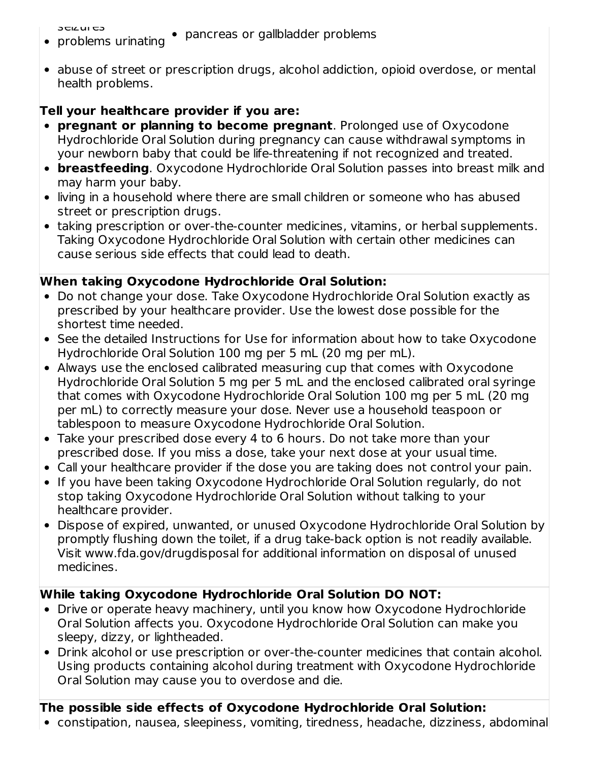seizures

- problems urinating pancreas or gallbladder problems
- abuse of street or prescription drugs, alcohol addiction, opioid overdose, or mental health problems.

# **Tell your healthcare provider if you are:**

- **pregnant or planning to become pregnant**. Prolonged use of Oxycodone Hydrochloride Oral Solution during pregnancy can cause withdrawal symptoms in your newborn baby that could be life-threatening if not recognized and treated.
- **breastfeeding**. Oxycodone Hydrochloride Oral Solution passes into breast milk and may harm your baby.
- living in a household where there are small children or someone who has abused street or prescription drugs.
- taking prescription or over-the-counter medicines, vitamins, or herbal supplements. Taking Oxycodone Hydrochloride Oral Solution with certain other medicines can cause serious side effects that could lead to death.

# **When taking Oxycodone Hydrochloride Oral Solution:**

- Do not change your dose. Take Oxycodone Hydrochloride Oral Solution exactly as prescribed by your healthcare provider. Use the lowest dose possible for the shortest time needed.
- See the detailed Instructions for Use for information about how to take Oxycodone Hydrochloride Oral Solution 100 mg per 5 mL (20 mg per mL).
- Always use the enclosed calibrated measuring cup that comes with Oxycodone Hydrochloride Oral Solution 5 mg per 5 mL and the enclosed calibrated oral syringe that comes with Oxycodone Hydrochloride Oral Solution 100 mg per 5 mL (20 mg per mL) to correctly measure your dose. Never use a household teaspoon or tablespoon to measure Oxycodone Hydrochloride Oral Solution.
- Take your prescribed dose every 4 to 6 hours. Do not take more than your prescribed dose. If you miss a dose, take your next dose at your usual time.
- Call your healthcare provider if the dose you are taking does not control your pain.
- If you have been taking Oxycodone Hydrochloride Oral Solution regularly, do not stop taking Oxycodone Hydrochloride Oral Solution without talking to your healthcare provider.
- Dispose of expired, unwanted, or unused Oxycodone Hydrochloride Oral Solution by promptly flushing down the toilet, if a drug take-back option is not readily available. Visit www.fda.gov/drugdisposal for additional information on disposal of unused medicines.

# **While taking Oxycodone Hydrochloride Oral Solution DO NOT:**

- Drive or operate heavy machinery, until you know how Oxycodone Hydrochloride Oral Solution affects you. Oxycodone Hydrochloride Oral Solution can make you sleepy, dizzy, or lightheaded.
- Drink alcohol or use prescription or over-the-counter medicines that contain alcohol. Using products containing alcohol during treatment with Oxycodone Hydrochloride Oral Solution may cause you to overdose and die.

# **The possible side effects of Oxycodone Hydrochloride Oral Solution:**

constipation, nausea, sleepiness, vomiting, tiredness, headache, dizziness, abdominal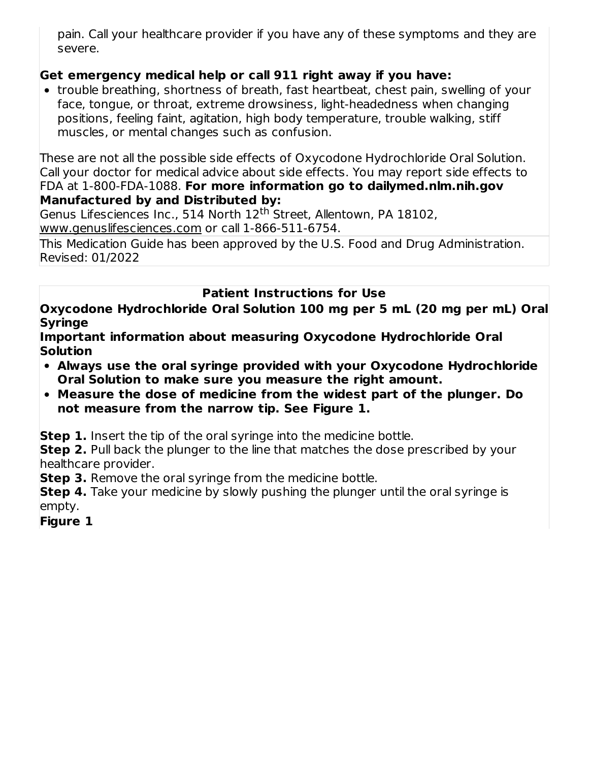pain. Call your healthcare provider if you have any of these symptoms and they are severe.

# **Get emergency medical help or call 911 right away if you have:**

• trouble breathing, shortness of breath, fast heartbeat, chest pain, swelling of your face, tongue, or throat, extreme drowsiness, light-headedness when changing positions, feeling faint, agitation, high body temperature, trouble walking, stiff muscles, or mental changes such as confusion.

These are not all the possible side effects of Oxycodone Hydrochloride Oral Solution. Call your doctor for medical advice about side effects. You may report side effects to FDA at 1-800-FDA-1088. **For more information go to dailymed.nlm.nih.gov Manufactured by and Distributed by:**

Genus Lifesciences Inc., 514 North 12<sup>th</sup> Street, Allentown, PA 18102, www.genuslifesciences.com or call 1-866-511-6754.

This Medication Guide has been approved by the U.S. Food and Drug Administration. Revised: 01/2022

# **Patient Instructions for Use**

**Oxycodone Hydrochloride Oral Solution 100 mg per 5 mL (20 mg per mL) Oral Syringe**

**Important information about measuring Oxycodone Hydrochloride Oral Solution**

- **Always use the oral syringe provided with your Oxycodone Hydrochloride Oral Solution to make sure you measure the right amount.**
- **Measure the dose of medicine from the widest part of the plunger. Do not measure from the narrow tip. See Figure 1.**

**Step 1.** Insert the tip of the oral syringe into the medicine bottle.

**Step 2.** Pull back the plunger to the line that matches the dose prescribed by your healthcare provider.

**Step 3.** Remove the oral syringe from the medicine bottle.

**Step 4.** Take your medicine by slowly pushing the plunger until the oral syringe is empty.

**Figure 1**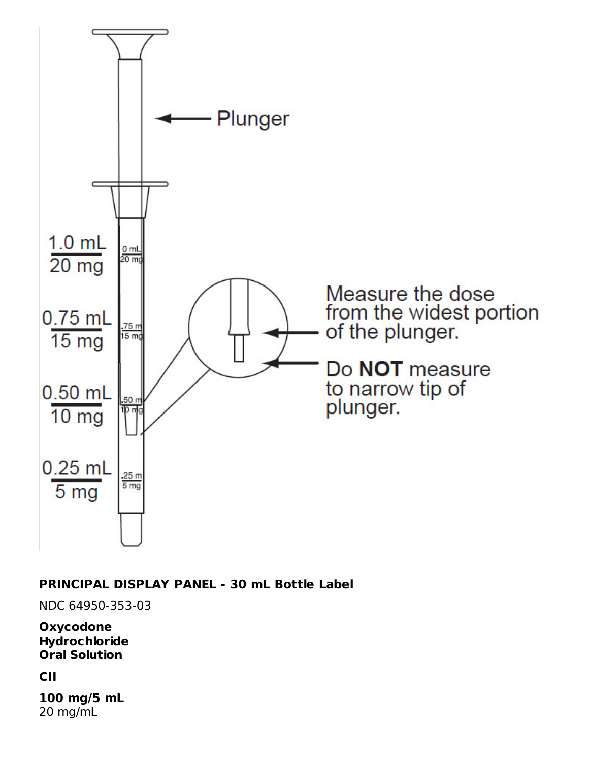

### **PRINCIPAL DISPLAY PANEL - 30 mL Bottle Label**

NDC 64950-353-03

**Oxycodone Hydrochloride Oral Solution**

**CII**

**100 mg/5 mL** 20 mg/mL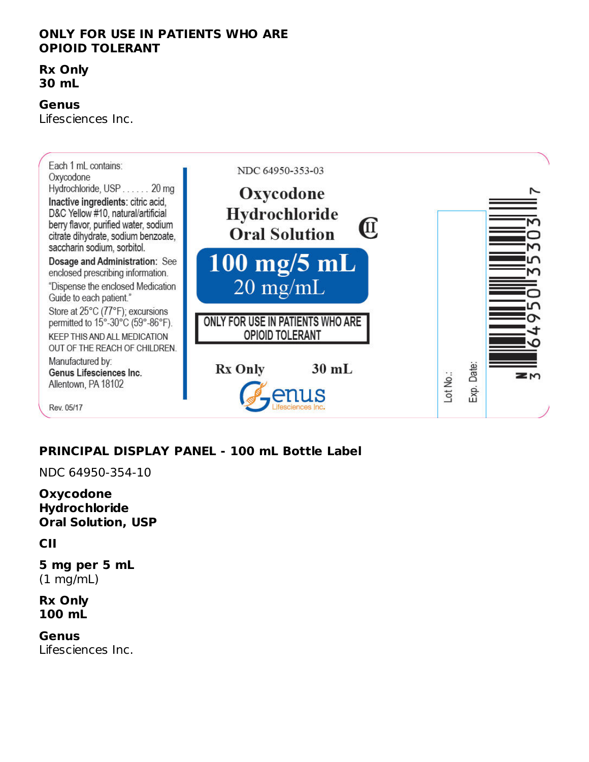#### **ONLY FOR USE IN PATIENTS WHO ARE OPIOID TOLERANT**

#### **Rx Only 30 mL**

#### **Genus**

Lifesciences Inc.



# **PRINCIPAL DISPLAY PANEL - 100 mL Bottle Label**

NDC 64950-354-10

**Oxycodone Hydrochloride Oral Solution, USP**

#### **CII**

**5 mg per 5 mL** (1 mg/mL)

#### **Rx Only 100 mL**

#### **Genus**

Lifesciences Inc.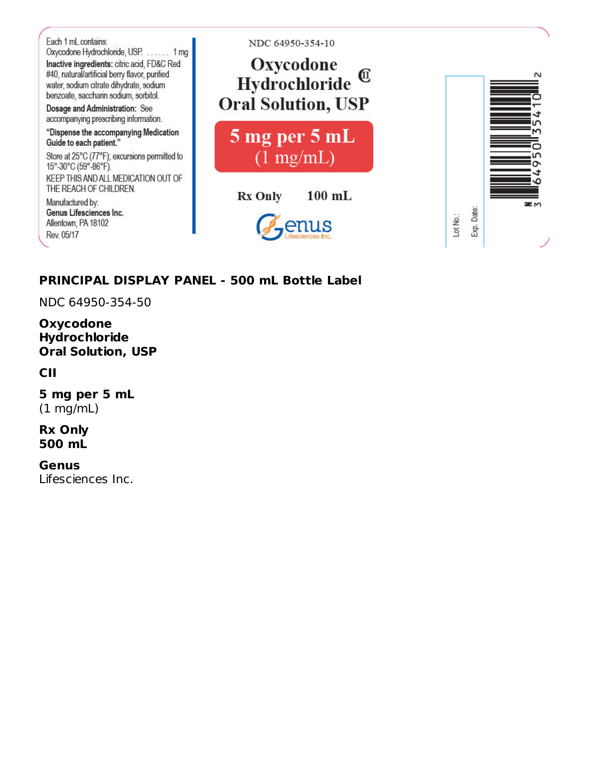

### **PRINCIPAL DISPLAY PANEL - 500 mL Bottle Label**

NDC 64950-354-50

**Oxycodone Hydrochloride Oral Solution, USP**

**CII**

**5 mg per 5 mL** (1 mg/mL)

**Rx Only 500 mL**

**Genus** Lifesciences Inc.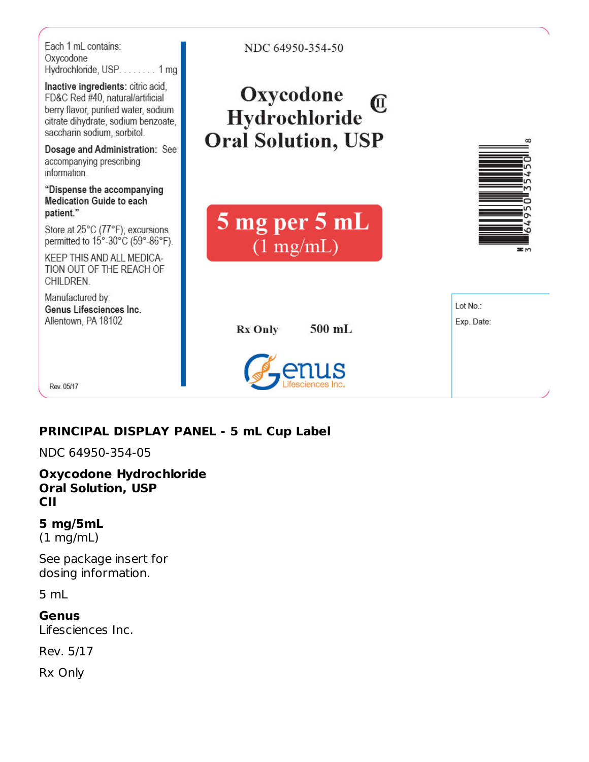

# **PRINCIPAL DISPLAY PANEL - 5 mL Cup Label**

NDC 64950-354-05

**Oxycodone Hydrochloride Oral Solution, USP CII**

# **5 mg/5mL**

(1 mg/mL)

See package insert for dosing information.

5 mL

**Genus** Lifesciences Inc.

Rev. 5/17

Rx Only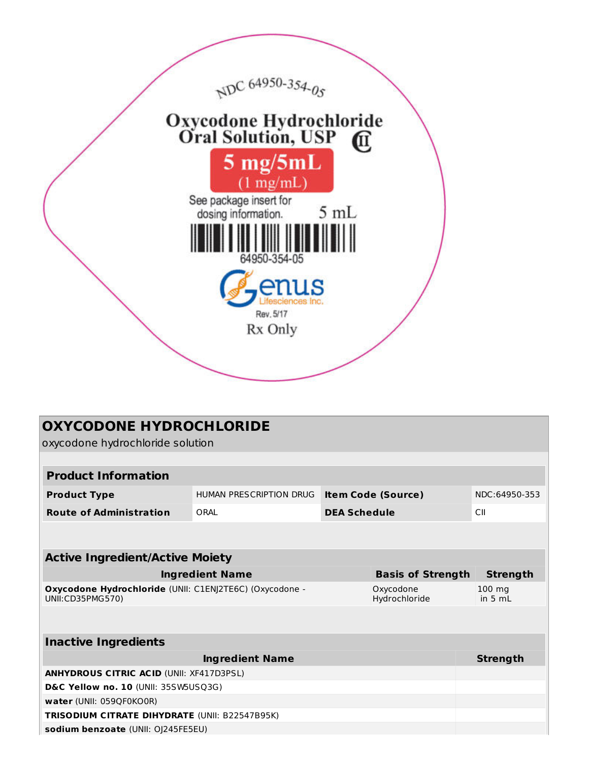

| <b>OXYCODONE HYDROCHLORIDE</b><br>oxycodone hydrochloride solution                                        |                         |                     |                           |                             |  |
|-----------------------------------------------------------------------------------------------------------|-------------------------|---------------------|---------------------------|-----------------------------|--|
|                                                                                                           |                         |                     |                           |                             |  |
| <b>Product Information</b>                                                                                |                         |                     |                           |                             |  |
| <b>Product Type</b>                                                                                       | HUMAN PRESCRIPTION DRUG |                     | <b>Item Code (Source)</b> | NDC:64950-353               |  |
| <b>Route of Administration</b>                                                                            | ORAL                    | <b>DEA Schedule</b> |                           | CII                         |  |
|                                                                                                           |                         |                     |                           |                             |  |
| <b>Active Ingredient/Active Moiety</b>                                                                    |                         |                     |                           |                             |  |
| <b>Ingredient Name</b><br><b>Basis of Strength</b><br><b>Strength</b>                                     |                         |                     |                           |                             |  |
| Oxycodone Hydrochloride (UNII: C1EN)2TE6C) (Oxycodone -<br>Oxycodone<br>UNII:CD35PMG570)<br>Hydrochloride |                         |                     |                           | $100 \text{ mg}$<br>in 5 ml |  |
|                                                                                                           |                         |                     |                           |                             |  |
| <b>Inactive Ingredients</b>                                                                               |                         |                     |                           |                             |  |
|                                                                                                           | <b>Ingredient Name</b>  |                     |                           | <b>Strength</b>             |  |
| <b>ANHYDROUS CITRIC ACID (UNII: XF417D3PSL)</b>                                                           |                         |                     |                           |                             |  |
| D&C Yellow no. 10 (UNII: 35SW5USQ3G)                                                                      |                         |                     |                           |                             |  |
| water (UNII: 059QF0KO0R)                                                                                  |                         |                     |                           |                             |  |
| <b>TRISODIUM CITRATE DIHYDRATE (UNII: B22547B95K)</b>                                                     |                         |                     |                           |                             |  |
| sodium benzoate (UNII: OJ245FE5EU)                                                                        |                         |                     |                           |                             |  |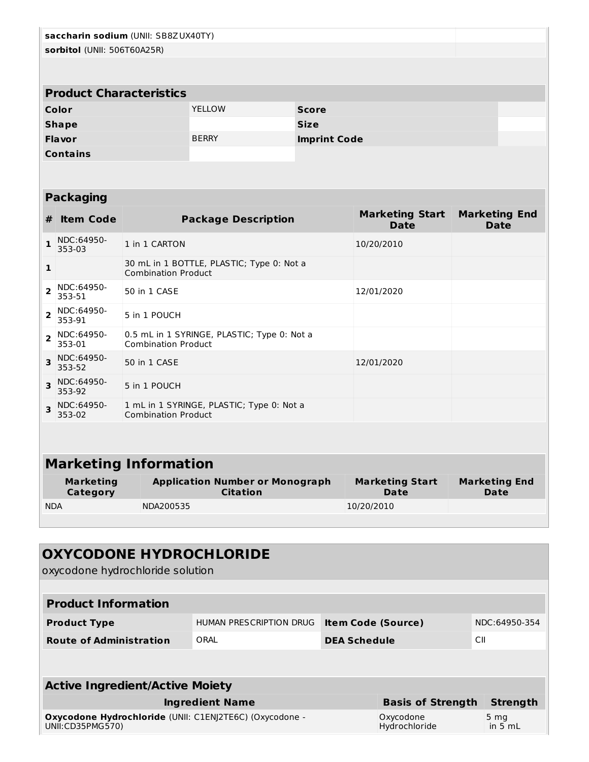| saccharin sodium (UNII: SB8ZUX40TY)<br>sorbitol (UNII: 506T60A25R) |                                     |                                                                           |                                                           |                     |                                       |                                     |  |
|--------------------------------------------------------------------|-------------------------------------|---------------------------------------------------------------------------|-----------------------------------------------------------|---------------------|---------------------------------------|-------------------------------------|--|
|                                                                    |                                     |                                                                           |                                                           |                     |                                       |                                     |  |
|                                                                    |                                     |                                                                           |                                                           |                     |                                       |                                     |  |
|                                                                    | <b>Product Characteristics</b>      |                                                                           |                                                           |                     |                                       |                                     |  |
|                                                                    | Color                               |                                                                           | <b>YELLOW</b>                                             | <b>Score</b>        |                                       |                                     |  |
|                                                                    | <b>Shape</b>                        |                                                                           |                                                           | <b>Size</b>         |                                       |                                     |  |
|                                                                    | Flavor                              |                                                                           | <b>BERRY</b>                                              | <b>Imprint Code</b> |                                       |                                     |  |
|                                                                    | <b>Contains</b>                     |                                                                           |                                                           |                     |                                       |                                     |  |
|                                                                    |                                     |                                                                           |                                                           |                     |                                       |                                     |  |
|                                                                    | <b>Packaging</b>                    |                                                                           |                                                           |                     |                                       |                                     |  |
|                                                                    |                                     |                                                                           |                                                           |                     | <b>Marketing Start</b>                | <b>Marketing End</b>                |  |
| #                                                                  | <b>Item Code</b>                    |                                                                           | <b>Package Description</b>                                |                     | <b>Date</b>                           | <b>Date</b>                         |  |
| 1                                                                  | NDC:64950-<br>353-03                | 1 in 1 CARTON                                                             |                                                           |                     | 10/20/2010                            |                                     |  |
| 1                                                                  |                                     | 30 mL in 1 BOTTLE, PLASTIC; Type 0: Not a<br><b>Combination Product</b>   |                                                           |                     |                                       |                                     |  |
| $\overline{2}$                                                     | NDC:64950-<br>353-51                | 50 in 1 CASE                                                              |                                                           |                     | 12/01/2020                            |                                     |  |
| $\overline{2}$                                                     | NDC:64950-<br>353-91                | 5 in 1 POUCH                                                              |                                                           |                     |                                       |                                     |  |
| $\overline{2}$                                                     | NDC:64950-<br>353-01                | 0.5 mL in 1 SYRINGE, PLASTIC; Type 0: Not a<br><b>Combination Product</b> |                                                           |                     |                                       |                                     |  |
| 3                                                                  | NDC:64950-<br>353-52                | 50 in 1 CASE                                                              |                                                           |                     | 12/01/2020                            |                                     |  |
| 3                                                                  | NDC:64950-<br>353-92                | 5 in 1 POUCH                                                              |                                                           |                     |                                       |                                     |  |
| 3                                                                  | NDC:64950-<br>353-02                | 1 mL in 1 SYRINGE, PLASTIC; Type 0: Not a<br><b>Combination Product</b>   |                                                           |                     |                                       |                                     |  |
|                                                                    |                                     |                                                                           |                                                           |                     |                                       |                                     |  |
|                                                                    |                                     |                                                                           |                                                           |                     |                                       |                                     |  |
|                                                                    |                                     | <b>Marketing Information</b>                                              |                                                           |                     |                                       |                                     |  |
|                                                                    | <b>Marketing</b><br><b>Category</b> |                                                                           | <b>Application Number or Monograph</b><br><b>Citation</b> |                     | <b>Marketing Start</b><br><b>Date</b> | <b>Marketing End</b><br><b>Date</b> |  |
| <b>NDA</b>                                                         |                                     | NDA200535                                                                 |                                                           |                     | 10/20/2010                            |                                     |  |

| <b>OXYCODONE HYDROCHLORIDE</b><br>oxycodone hydrochloride solution          |                         |                                            |                            |                              |  |
|-----------------------------------------------------------------------------|-------------------------|--------------------------------------------|----------------------------|------------------------------|--|
|                                                                             |                         |                                            |                            |                              |  |
| <b>Product Information</b>                                                  |                         |                                            |                            |                              |  |
| <b>Product Type</b>                                                         | HUMAN PRESCRIPTION DRUG | NDC:64950-354<br><b>Item Code (Source)</b> |                            |                              |  |
| <b>Route of Administration</b>                                              | ORAL                    | <b>DEA Schedule</b>                        | CII                        |                              |  |
|                                                                             |                         |                                            |                            |                              |  |
|                                                                             |                         |                                            |                            |                              |  |
| <b>Active Ingredient/Active Moiety</b>                                      |                         |                                            |                            |                              |  |
| <b>Basis of Strength</b><br><b>Strength</b><br><b>Ingredient Name</b>       |                         |                                            |                            |                              |  |
| Oxycodone Hydrochloride (UNII: C1ENI2TE6C) (Oxycodone -<br>UNII:CD35PMG570) |                         |                                            | Oxycodone<br>Hydrochloride | 5 <sub>mg</sub><br>in $5 mL$ |  |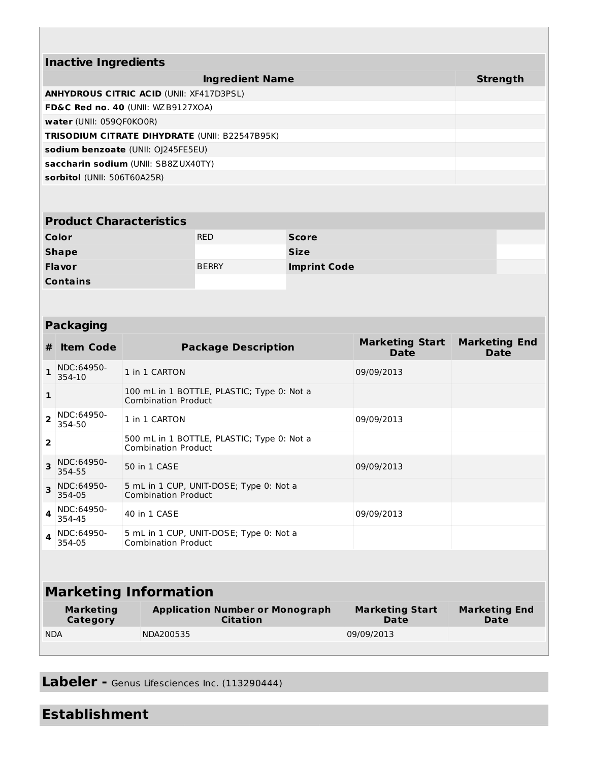| <b>Inactive Ingredients</b>                           |                 |  |  |  |
|-------------------------------------------------------|-----------------|--|--|--|
| <b>Ingredient Name</b>                                | <b>Strength</b> |  |  |  |
| <b>ANHYDROUS CITRIC ACID (UNII: XF417D3PSL)</b>       |                 |  |  |  |
| FD&C Red no. 40 (UNII: WZB9127XOA)                    |                 |  |  |  |
| water (UNII: 0590F0KO0R)                              |                 |  |  |  |
| <b>TRISODIUM CITRATE DIHYDRATE (UNII: B22547B95K)</b> |                 |  |  |  |
| sodium benzoate (UNII: OI245FE5EU)                    |                 |  |  |  |
| saccharin sodium (UNII: SB8ZUX40TY)                   |                 |  |  |  |
| sorbitol (UNII: 506T60A25R)                           |                 |  |  |  |
|                                                       |                 |  |  |  |

| <b>Product Characteristics</b> |              |                     |  |  |  |
|--------------------------------|--------------|---------------------|--|--|--|
| Color                          | <b>RED</b>   | <b>Score</b>        |  |  |  |
| <b>Shape</b>                   |              | <b>Size</b>         |  |  |  |
| <b>Flavor</b>                  | <b>BERRY</b> | <b>Imprint Code</b> |  |  |  |
| <b>Contains</b>                |              |                     |  |  |  |

# **Packaging**

| #                       | <b>Item Code</b>             |                                                                       |                                                                       | <b>Package Description</b>                                | <b>Marketing Start</b><br>Date | <b>Marketing End</b><br>Date |
|-------------------------|------------------------------|-----------------------------------------------------------------------|-----------------------------------------------------------------------|-----------------------------------------------------------|--------------------------------|------------------------------|
| 1.                      | NDC:64950-<br>354-10         |                                                                       | 1 in 1 CARTON                                                         |                                                           | 09/09/2013                     |                              |
| $\mathbf{1}$            |                              |                                                                       | <b>Combination Product</b>                                            | 100 mL in 1 BOTTLE, PLASTIC; Type 0: Not a                |                                |                              |
| $\overline{\mathbf{2}}$ | NDC:64950-<br>354-50         |                                                                       | 1 in 1 CARTON                                                         |                                                           | 09/09/2013                     |                              |
| $\overline{2}$          |                              |                                                                       | <b>Combination Product</b>                                            | 500 mL in 1 BOTTLE, PLASTIC; Type 0: Not a                |                                |                              |
| 3                       | NDC:64950-<br>354-55         |                                                                       | 50 in 1 CASE                                                          |                                                           | 09/09/2013                     |                              |
| 3                       | NDC:64950-<br>354-05         |                                                                       | 5 mL in 1 CUP, UNIT-DOSE; Type 0: Not a<br><b>Combination Product</b> |                                                           |                                |                              |
| 4                       | NDC:64950-<br>354-45         |                                                                       | 40 in 1 CASE                                                          |                                                           | 09/09/2013                     |                              |
| 4                       | NDC:64950-<br>354-05         | 5 mL in 1 CUP, UNIT-DOSE; Type 0: Not a<br><b>Combination Product</b> |                                                                       |                                                           |                                |                              |
|                         |                              |                                                                       |                                                                       |                                                           |                                |                              |
|                         | <b>Marketing Information</b> |                                                                       |                                                                       |                                                           |                                |                              |
|                         | <b>Marketing</b><br>Category |                                                                       |                                                                       | <b>Application Number or Monograph</b><br><b>Citation</b> | <b>Marketing Start</b><br>Date | <b>Marketing End</b><br>Date |
| <b>NDA</b>              |                              |                                                                       | NDA200535                                                             |                                                           | 09/09/2013                     |                              |

**Labeler -** Genus Lifesciences Inc. (113290444)

**Establishment**